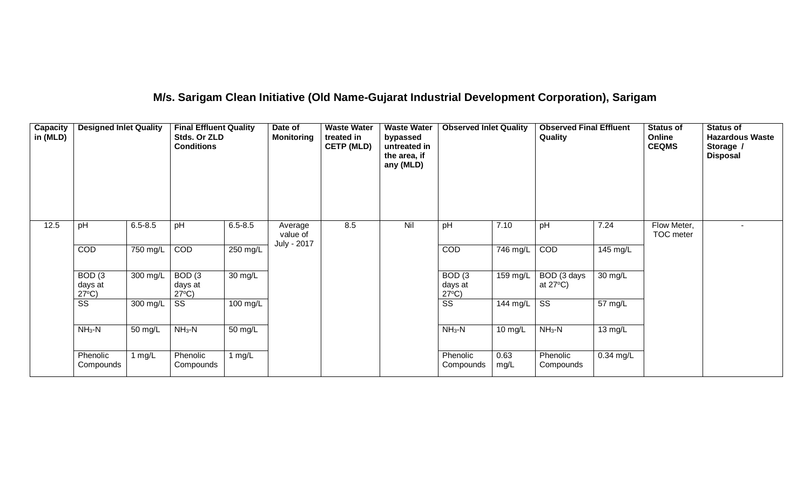## **M/s. Sarigam Clean Initiative (Old Name-Gujarat Industrial Development Corporation), Sarigam**

| Capacity<br>in (MLD) | <b>Designed Inlet Quality</b>                   |             | <b>Final Effluent Quality</b><br>Stds. Or ZLD<br><b>Conditions</b> |             | Date of<br><b>Monitoring</b> | <b>Waste Water</b><br>treated in<br><b>CETP (MLD)</b> | <b>Waste Water</b><br>bypassed<br>untreated in<br>the area, if<br>any (MLD) | <b>Observed Inlet Quality</b>                   |                  | <b>Observed Final Effluent</b><br>Quality |                   | <b>Status of</b><br>Online<br><b>CEQMS</b> | <b>Status of</b><br><b>Hazardous Waste</b><br>Storage /<br><b>Disposal</b> |
|----------------------|-------------------------------------------------|-------------|--------------------------------------------------------------------|-------------|------------------------------|-------------------------------------------------------|-----------------------------------------------------------------------------|-------------------------------------------------|------------------|-------------------------------------------|-------------------|--------------------------------------------|----------------------------------------------------------------------------|
| 12.5                 | pH                                              | $6.5 - 8.5$ | pH                                                                 | $6.5 - 8.5$ | Average<br>value of          | 8.5                                                   | Nil                                                                         | pH                                              | 7.10             | pH                                        | 7.24              | Flow Meter,<br>TOC meter                   | $\blacksquare$                                                             |
|                      | <b>COD</b>                                      | 750 mg/L    | COD                                                                | 250 mg/L    | July - 2017                  |                                                       |                                                                             | <b>COD</b>                                      | 746 mg/L         | <b>COD</b>                                | 145 mg/L          |                                            |                                                                            |
|                      | BOD <sub>(3</sub><br>days at<br>$27^{\circ}C$ ) | 300 mg/L    | BOD <sub>(3</sub><br>days at<br>$27^{\circ}C$ )                    | 30 mg/L     |                              |                                                       |                                                                             | BOD <sub>(3</sub><br>days at<br>$27^{\circ}C$ ) | 159 mg/L         | BOD (3 days<br>at $27^{\circ}$ C)         | 30 mg/L           |                                            |                                                                            |
|                      | $\overline{\text{SS}}$                          | 300 mg/L    | SS                                                                 | 100 mg/L    |                              |                                                       |                                                                             | $\overline{\text{SS}}$                          | 144 mg/L $\vert$ | $\overline{\text{ss}}$                    | 57 mg/L           |                                            |                                                                            |
|                      | $NH3-N$                                         | 50 mg/L     | $NH_3-N$                                                           | 50 mg/L     |                              |                                                       |                                                                             | $NH3-N$                                         | $10$ mg/L        | $NH3-N$                                   | $13 \text{ mg/L}$ |                                            |                                                                            |
|                      | Phenolic<br>Compounds                           | 1 mg/L      | Phenolic<br>Compounds                                              | 1 $mg/L$    |                              |                                                       |                                                                             | Phenolic<br>Compounds                           | 0.63<br>mg/L     | Phenolic<br>Compounds                     | $0.34$ mg/L       |                                            |                                                                            |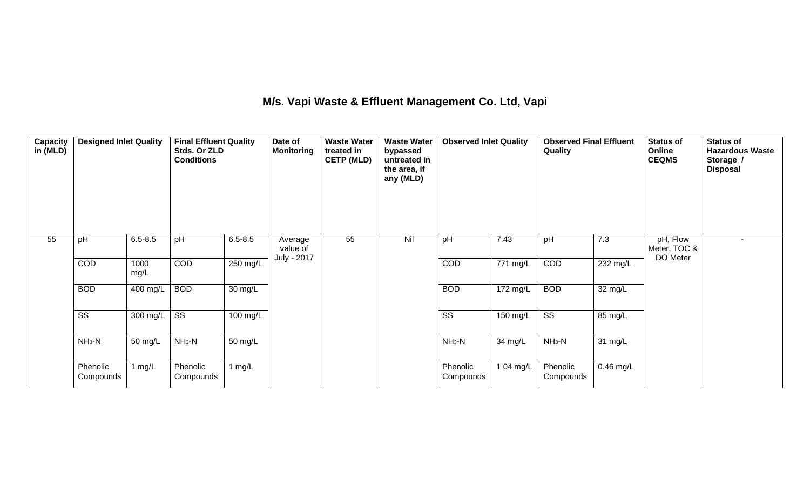### **M/s. Vapi Waste & Effluent Management Co. Ltd, Vapi**

| <b>Capacity</b><br>in (MLD) | <b>Designed Inlet Quality</b> |              | <b>Final Effluent Quality</b><br>Stds. Or ZLD<br><b>Conditions</b> |                   | Date of<br><b>Monitoring</b>       | <b>Waste Water</b><br>treated in<br><b>CETP (MLD)</b> | <b>Waste Water</b><br>bypassed<br>untreated in<br>the area, if<br>any (MLD) | <b>Observed Inlet Quality</b> |           | <b>Observed Final Effluent</b><br>Quality |                      | <b>Status of</b><br>Online<br><b>CEQMS</b> | <b>Status of</b><br><b>Hazardous Waste</b><br>Storage /<br><b>Disposal</b> |
|-----------------------------|-------------------------------|--------------|--------------------------------------------------------------------|-------------------|------------------------------------|-------------------------------------------------------|-----------------------------------------------------------------------------|-------------------------------|-----------|-------------------------------------------|----------------------|--------------------------------------------|----------------------------------------------------------------------------|
| 55                          | pH                            | $6.5 - 8.5$  | pH                                                                 | $6.5 - 8.5$       | Average<br>value of<br>July - 2017 | 55                                                    | Nil                                                                         | pH                            | 7.43      | pH                                        | 7.3                  | pH, Flow<br>Meter, TOC &<br>DO Meter       |                                                                            |
|                             | COD                           | 1000<br>mg/L | <b>COD</b>                                                         | 250 mg/L          |                                    |                                                       |                                                                             | <b>COD</b>                    | 771 mg/L  | COD                                       | 232 mg/L             |                                            |                                                                            |
|                             | <b>BOD</b>                    | 400 mg/L     | <b>BOD</b>                                                         | 30 mg/L           |                                    |                                                       |                                                                             | <b>BOD</b>                    | 172 mg/L  | <b>BOD</b>                                | 32 mg/L              |                                            |                                                                            |
|                             | $\overline{\text{ss}}$        | 300 mg/L     | $\overline{\text{SS}}$                                             | 100 mg/L          |                                    |                                                       |                                                                             | $\overline{\text{SS}}$        | 150 mg/L  | $\overline{\text{SS}}$                    | 85 mg/L              |                                            |                                                                            |
|                             | $NH3-N$                       | 50 mg/L      | $NH3-N$                                                            | $50 \text{ mg/L}$ |                                    |                                                       |                                                                             | $NH3-N$                       | 34 mg/L   | $NH3-N$                                   | $\overline{31}$ mg/L |                                            |                                                                            |
|                             | Phenolic<br>Compounds         | 1 mg/L       | Phenolic<br>Compounds                                              | 1 mg/L            |                                    |                                                       |                                                                             | Phenolic<br>Compounds         | 1.04 mg/L | Phenolic<br>Compounds                     | $0.46$ mg/L          |                                            |                                                                            |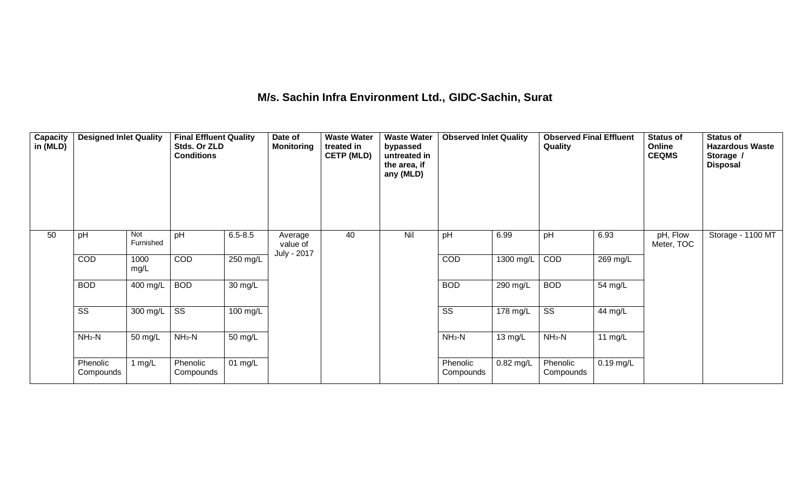## **M/s. Sachin Infra Environment Ltd., GIDC-Sachin, Surat**

| Capacity<br>in (MLD) | <b>Designed Inlet Quality</b> |                  | <b>Final Effluent Quality</b><br>Stds. Or ZLD<br><b>Conditions</b> |                      | Date of<br><b>Monitoring</b>       | <b>Waste Water</b><br>treated in<br><b>CETP (MLD)</b> | <b>Waste Water</b><br>bypassed<br>untreated in<br>the area, if<br>any (MLD) | <b>Observed Inlet Quality</b> |                      | <b>Observed Final Effluent</b><br>Quality |             | <b>Status of</b><br>Online<br><b>CEQMS</b> | <b>Status of</b><br><b>Hazardous Waste</b><br>Storage /<br><b>Disposal</b> |
|----------------------|-------------------------------|------------------|--------------------------------------------------------------------|----------------------|------------------------------------|-------------------------------------------------------|-----------------------------------------------------------------------------|-------------------------------|----------------------|-------------------------------------------|-------------|--------------------------------------------|----------------------------------------------------------------------------|
| 50                   | pH                            | Not<br>Furnished | pH                                                                 | $6.5 - 8.5$          | Average<br>value of<br>July - 2017 | 40                                                    | Nil                                                                         | pH                            | 6.99                 | pH                                        | 6.93        | pH, Flow<br>Meter, TOC                     | Storage - 1100 MT                                                          |
|                      | COD                           | 1000<br>mg/L     | <b>COD</b>                                                         | 250 mg/L             |                                    |                                                       |                                                                             | COD                           | 1300 mg/L            | COD                                       | 269 mg/L    |                                            |                                                                            |
|                      | <b>BOD</b>                    | 400 mg/L         | <b>BOD</b>                                                         | $\overline{30}$ mg/L |                                    |                                                       |                                                                             | <b>BOD</b>                    | $290$ mg/L           | <b>BOD</b>                                | 54 mg/L     |                                            |                                                                            |
|                      | SS                            | 300 mg/L         | $\overline{\text{SS}}$                                             | 100 mg/L             |                                    |                                                       |                                                                             | SS                            | 178 mg/L             | $\overline{\text{ss}}$                    | 44 mg/L     |                                            |                                                                            |
|                      | $NH3-N$                       | 50 mg/L          | $NH3-N$                                                            | 50 mg/L              |                                    |                                                       |                                                                             | $NH3-N$                       | $\overline{13}$ mg/L | $NH3-N$                                   | 11 $mg/L$   |                                            |                                                                            |
|                      | Phenolic<br>Compounds         | 1 $mg/L$         | Phenolic<br>Compounds                                              | $01 \text{ mg/L}$    |                                    |                                                       |                                                                             | Phenolic<br>Compounds         | $0.82$ mg/L          | Phenolic<br>Compounds                     | $0.19$ mg/L |                                            |                                                                            |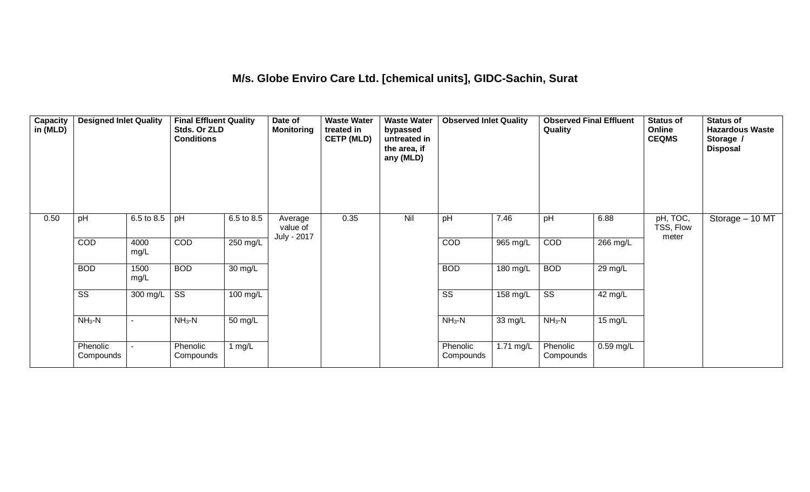#### **M/s. Globe Enviro Care Ltd. [chemical units], GIDC-Sachin, Surat**

| Capacity<br>in (MLD) | <b>Designed Inlet Quality</b> |                       | <b>Final Effluent Quality</b><br>Stds. Or ZLD<br><b>Conditions</b> |                    | Date of<br><b>Monitoring</b>       | <b>Waste Water</b><br>treated in<br><b>CETP (MLD)</b> | <b>Waste Water</b><br>bypassed<br>untreated in<br>the area, if<br>any (MLD) | <b>Observed Inlet Quality</b> |                      | <b>Observed Final Effluent</b><br>Quality |             | <b>Status of</b><br>Online<br><b>CEQMS</b> | <b>Status of</b><br><b>Hazardous Waste</b><br>Storage /<br><b>Disposal</b> |
|----------------------|-------------------------------|-----------------------|--------------------------------------------------------------------|--------------------|------------------------------------|-------------------------------------------------------|-----------------------------------------------------------------------------|-------------------------------|----------------------|-------------------------------------------|-------------|--------------------------------------------|----------------------------------------------------------------------------|
| 0.50                 | pH                            | $6.5 \text{ to } 8.5$ | pH                                                                 | 6.5 to 8.5         | Average<br>value of<br>July - 2017 | 0.35                                                  | Nil                                                                         | pH                            | 7.46                 | pH                                        | 6.88        | pH, TOC,<br>TSS, Flow<br>meter             | Storage $-10$ MT                                                           |
|                      | COD                           | 4000<br>mg/L          | COD                                                                | 250 mg/L           |                                    |                                                       |                                                                             | COD                           | 965 mg/L             | COD                                       | 266 mg/L    |                                            |                                                                            |
|                      | <b>BOD</b>                    | 1500<br>mg/L          | <b>BOD</b>                                                         | 30 mg/L            |                                    |                                                       |                                                                             | <b>BOD</b>                    | 180 mg/L             | <b>BOD</b>                                | 29 mg/L     |                                            |                                                                            |
|                      | $\overline{\text{SS}}$        | 300 mg/L              | $\overline{\text{SS}}$                                             | $100 \text{ mg/L}$ |                                    |                                                       |                                                                             | $\overline{\text{ss}}$        | 158 mg/L             | $\overline{\text{ss}}$                    | 42 mg/L     |                                            |                                                                            |
|                      | $NH3-N$                       |                       | $NH3-N$                                                            | 50 mg/L            |                                    |                                                       |                                                                             | $NH3-N$                       | $\overline{33}$ mg/L | $NH3-N$                                   | 15 mg/L     |                                            |                                                                            |
|                      | Phenolic<br>Compounds         |                       | Phenolic<br>Compounds                                              | 1 mg/L             |                                    |                                                       |                                                                             | Phenolic<br>Compounds         | 1.71 mg/L            | Phenolic<br>Compounds                     | $0.59$ mg/L |                                            |                                                                            |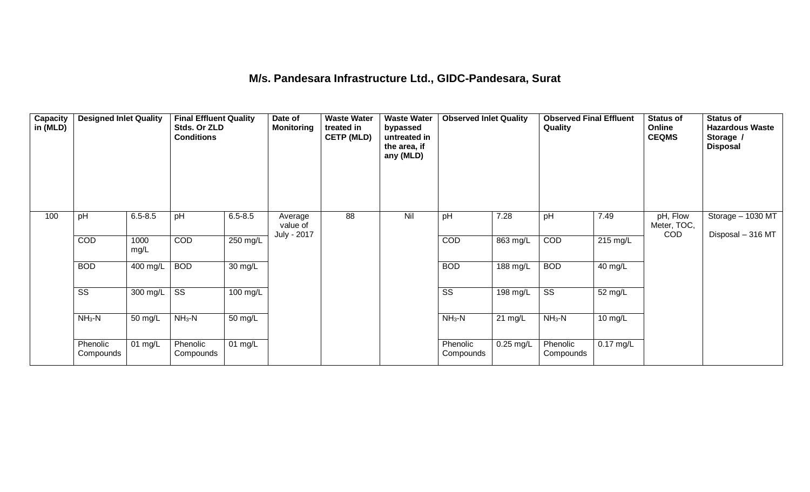## **M/s. Pandesara Infrastructure Ltd., GIDC-Pandesara, Surat**

| Capacity<br>in (MLD) | <b>Designed Inlet Quality</b> |              | <b>Final Effluent Quality</b><br>Stds. Or ZLD<br><b>Conditions</b> |                      | Date of<br><b>Monitoring</b>       | <b>Waste Water</b><br>treated in<br><b>CETP (MLD)</b> | <b>Waste Water</b><br>bypassed<br>untreated in<br>the area, if<br>any (MLD) | <b>Observed Inlet Quality</b> |                      | <b>Observed Final Effluent</b><br>Quality |                    | <b>Status of</b><br>Online<br><b>CEQMS</b> | <b>Status of</b><br><b>Hazardous Waste</b><br>Storage /<br><b>Disposal</b> |
|----------------------|-------------------------------|--------------|--------------------------------------------------------------------|----------------------|------------------------------------|-------------------------------------------------------|-----------------------------------------------------------------------------|-------------------------------|----------------------|-------------------------------------------|--------------------|--------------------------------------------|----------------------------------------------------------------------------|
| 100                  | pH                            | $6.5 - 8.5$  | pH                                                                 | $6.5 - 8.5$          | Average<br>value of<br>July - 2017 | $\overline{88}$                                       | Nil                                                                         | pH                            | 7.28                 | pH                                        | 7.49               | pH, Flow<br>Meter, TOC,<br><b>COD</b>      | Storage - 1030 MT<br>Disposal - 316 MT                                     |
|                      | COD                           | 1000<br>mg/L | COD                                                                | 250 mg/L             |                                    |                                                       |                                                                             | COD                           | $863$ mg/L           | COD                                       | $215 \text{ mg/L}$ |                                            |                                                                            |
|                      | <b>BOD</b>                    | 400 mg/L     | <b>BOD</b>                                                         | 30 mg/L              |                                    |                                                       |                                                                             | <b>BOD</b>                    | 188 mg/L             | <b>BOD</b>                                | $40$ mg/L          |                                            |                                                                            |
|                      | $\overline{\text{SS}}$        | 300 mg/L     | $\overline{\text{SS}}$                                             | 100 mg/L             |                                    |                                                       |                                                                             | $\overline{\text{ss}}$        | 198 mg/L             | $\overline{\text{ss}}$                    | 52 mg/L            |                                            |                                                                            |
|                      | $NH3-N$                       | 50 mg/L      | $NH3-N$                                                            | $\overline{50}$ mg/L |                                    |                                                       |                                                                             | $NH3-N$                       | $\overline{21}$ mg/L | $NH3-N$                                   | 10 mg/L            |                                            |                                                                            |
|                      | Phenolic<br>Compounds         | 01 mg/L      | Phenolic<br>Compounds                                              | 01 mg/L              |                                    |                                                       |                                                                             | Phenolic<br>Compounds         | $0.25$ mg/L          | Phenolic<br>Compounds                     | $0.17$ mg/L        |                                            |                                                                            |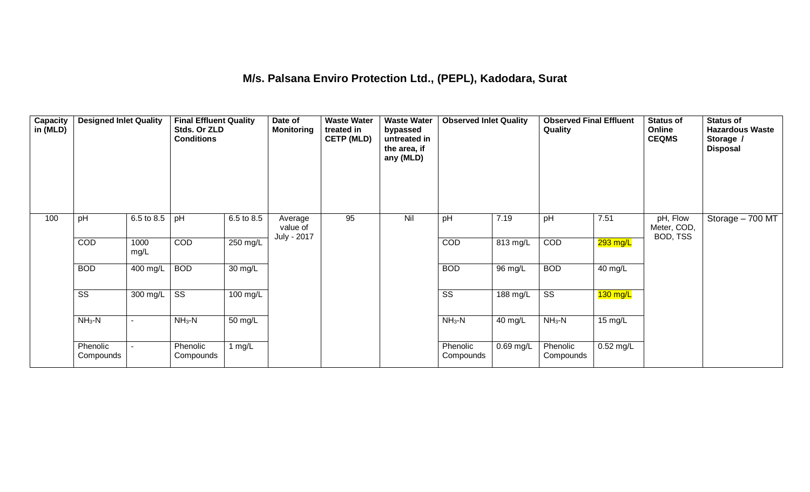#### **M/s. Palsana Enviro Protection Ltd., (PEPL), Kadodara, Surat**

| Capacity<br>in (MLD) | <b>Designed Inlet Quality</b> |              | <b>Final Effluent Quality</b><br>Stds. Or ZLD<br><b>Conditions</b> |            | Date of<br><b>Monitoring</b>       | <b>Waste Water</b><br>treated in<br><b>CETP (MLD)</b> | <b>Waste Water</b><br>bypassed<br>untreated in<br>the area, if<br>any (MLD) | <b>Observed Inlet Quality</b> |             | <b>Observed Final Effluent</b><br>Quality |             | <b>Status of</b><br>Online<br><b>CEQMS</b> | <b>Status of</b><br><b>Hazardous Waste</b><br>Storage /<br><b>Disposal</b> |
|----------------------|-------------------------------|--------------|--------------------------------------------------------------------|------------|------------------------------------|-------------------------------------------------------|-----------------------------------------------------------------------------|-------------------------------|-------------|-------------------------------------------|-------------|--------------------------------------------|----------------------------------------------------------------------------|
| 100                  | pH                            | 6.5 to 8.5   | pH                                                                 | 6.5 to 8.5 | Average<br>value of<br>July - 2017 | 95                                                    | Nil                                                                         | pH                            | 7.19        | pH                                        | 7.51        | pH, Flow<br>Meter, COD,<br>BOD, TSS        | Storage - 700 MT                                                           |
|                      | COD                           | 1000<br>mg/L | COD                                                                | 250 mg/L   |                                    |                                                       |                                                                             | COD                           | 813 mg/L    | COD                                       | 293 mg/L    |                                            |                                                                            |
|                      | <b>BOD</b>                    | 400 mg/L     | <b>BOD</b>                                                         | 30 mg/L    |                                    |                                                       |                                                                             | <b>BOD</b>                    | 96 mg/L     | <b>BOD</b>                                | 40 mg/L     |                                            |                                                                            |
|                      | $\overline{\text{ss}}$        | 300 mg/L     | $\overline{\text{SS}}$                                             | 100 mg/L   |                                    |                                                       |                                                                             | $\overline{\text{ss}}$        | 188 mg/L    | $\overline{\text{ss}}$                    | $130$ mg/L  |                                            |                                                                            |
|                      | $NH3-N$                       |              | $NH3-N$                                                            | 50 mg/L    |                                    |                                                       |                                                                             | $NH3-N$                       | 40 mg/L     | $NH3-N$                                   | 15 mg/L     |                                            |                                                                            |
|                      | Phenolic<br>Compounds         |              | Phenolic<br>Compounds                                              | 1 $mg/L$   |                                    |                                                       |                                                                             | Phenolic<br>Compounds         | $0.69$ mg/L | Phenolic<br>Compounds                     | $0.52$ mg/L |                                            |                                                                            |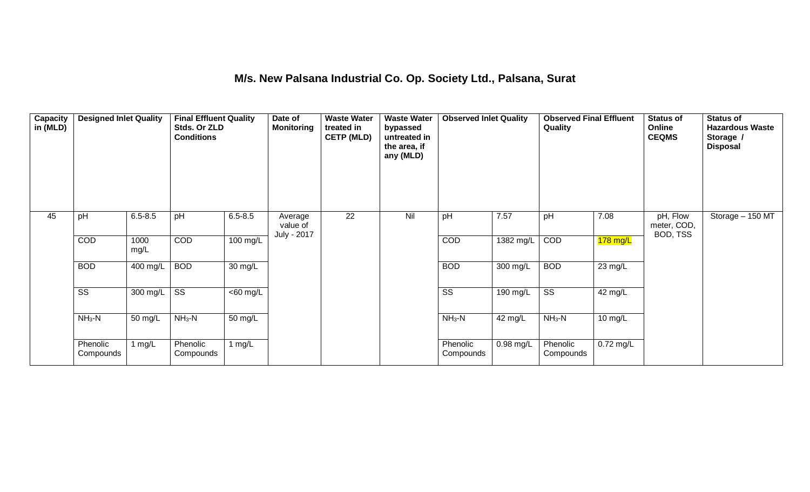### **M/s. New Palsana Industrial Co. Op. Society Ltd., Palsana, Surat**

| Capacity<br>in (MLD) | <b>Designed Inlet Quality</b> |              | <b>Final Effluent Quality</b><br>Stds. Or ZLD<br><b>Conditions</b> |             | Date of<br><b>Monitoring</b>       | <b>Waste Water</b><br>treated in<br><b>CETP (MLD)</b> | <b>Waste Water</b><br>bypassed<br>untreated in<br>the area, if<br>any (MLD) | <b>Observed Inlet Quality</b> |                      | <b>Observed Final Effluent</b><br>Quality |                   | <b>Status of</b><br>Online<br><b>CEQMS</b> | <b>Status of</b><br><b>Hazardous Waste</b><br>Storage /<br><b>Disposal</b> |
|----------------------|-------------------------------|--------------|--------------------------------------------------------------------|-------------|------------------------------------|-------------------------------------------------------|-----------------------------------------------------------------------------|-------------------------------|----------------------|-------------------------------------------|-------------------|--------------------------------------------|----------------------------------------------------------------------------|
| 45                   | pH                            | $6.5 - 8.5$  | pH                                                                 | $6.5 - 8.5$ | Average<br>value of<br>July - 2017 | $\overline{22}$                                       | Nil                                                                         | pH                            | 7.57                 | pH                                        | 7.08              | pH, Flow<br>meter, COD,<br>BOD, TSS        | Storage - 150 MT                                                           |
|                      | COD                           | 1000<br>mg/L | COD                                                                | 100 mg/L    |                                    |                                                       |                                                                             | COD                           | 1382 mg/L            | COD                                       | $178$ mg/L        |                                            |                                                                            |
|                      | <b>BOD</b>                    | 400 mg/L     | <b>BOD</b>                                                         | 30 mg/L     |                                    |                                                       |                                                                             | <b>BOD</b>                    | 300 mg/L             | <b>BOD</b>                                | 23 mg/L           |                                            |                                                                            |
|                      | $\overline{\text{ss}}$        | 300 mg/L     | $\overline{\text{SS}}$                                             | $<$ 60 mg/L |                                    |                                                       |                                                                             | $\overline{\text{ss}}$        | 190 mg/L             | $\overline{\text{ss}}$                    | 42 mg/L           |                                            |                                                                            |
|                      | $NH3-N$                       | 50 mg/L      | $NH3-N$                                                            | 50 mg/L     |                                    |                                                       |                                                                             | $NH3-N$                       | $\overline{42}$ mg/L | $NH3-N$                                   | $10 \text{ mg/L}$ |                                            |                                                                            |
|                      | Phenolic<br>Compounds         | 1 $mg/L$     | Phenolic<br>Compounds                                              | 1 mg/L      |                                    |                                                       |                                                                             | Phenolic<br>Compounds         | $0.98$ mg/L          | Phenolic<br>Compounds                     | $0.72$ mg/L       |                                            |                                                                            |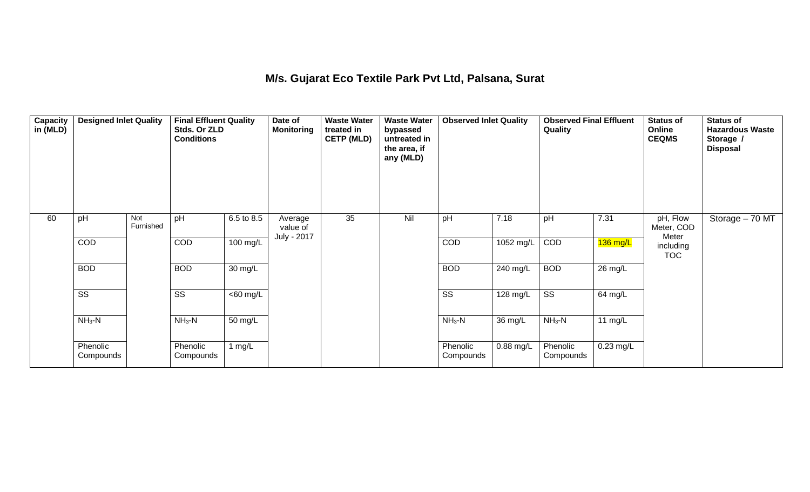#### **M/s. Gujarat Eco Textile Park Pvt Ltd, Palsana, Surat**

| Capacity<br>in (MLD) | <b>Designed Inlet Quality</b> |                  | <b>Final Effluent Quality</b><br>Stds. Or ZLD<br><b>Conditions</b> |                    | Date of<br><b>Monitoring</b>       | <b>Waste Water</b><br>treated in<br><b>CETP (MLD)</b> | <b>Waste Water</b><br>bypassed<br>untreated in<br>the area, if<br>any (MLD) | <b>Observed Inlet Quality</b> |             | <b>Observed Final Effluent</b><br>Quality |                   | <b>Status of</b><br>Online<br><b>CEQMS</b> | <b>Status of</b><br><b>Hazardous Waste</b><br>Storage /<br><b>Disposal</b> |
|----------------------|-------------------------------|------------------|--------------------------------------------------------------------|--------------------|------------------------------------|-------------------------------------------------------|-----------------------------------------------------------------------------|-------------------------------|-------------|-------------------------------------------|-------------------|--------------------------------------------|----------------------------------------------------------------------------|
| 60                   | pH                            | Not<br>Furnished | pH                                                                 | 6.5 to 8.5         | Average<br>value of<br>July - 2017 | $\overline{35}$                                       | Nil                                                                         | pH                            | 7.18        | pH                                        | 7.31              | pH, Flow<br>Meter, COD<br>Meter            | Storage - 70 MT                                                            |
|                      | COD                           |                  | COD                                                                | $100 \text{ mg/L}$ |                                    |                                                       |                                                                             | COD                           | 1052 mg/L   | COD                                       | $136$ mg/L        | including<br><b>TOC</b>                    |                                                                            |
|                      | <b>BOD</b>                    |                  | <b>BOD</b>                                                         | 30 mg/L            |                                    |                                                       |                                                                             | <b>BOD</b>                    | 240 mg/L    | <b>BOD</b>                                | $26 \text{ mg/L}$ |                                            |                                                                            |
|                      | $\overline{\text{ss}}$        |                  | SS                                                                 | $<$ 60 mg/L        |                                    |                                                       |                                                                             | $\overline{\text{ss}}$        | 128 mg/L    | $\overline{\text{ss}}$                    | 64 mg/L           |                                            |                                                                            |
|                      | $NH3-N$                       |                  | $NH3-N$                                                            | 50 mg/L            |                                    |                                                       |                                                                             | $NH3-N$                       | 36 mg/L     | $NH3-N$                                   | 11 $mg/L$         |                                            |                                                                            |
|                      | Phenolic<br>Compounds         |                  | Phenolic<br>Compounds                                              | 1 $mg/L$           |                                    |                                                       |                                                                             | Phenolic<br>Compounds         | $0.88$ mg/L | Phenolic<br>Compounds                     | $0.23$ mg/L       |                                            |                                                                            |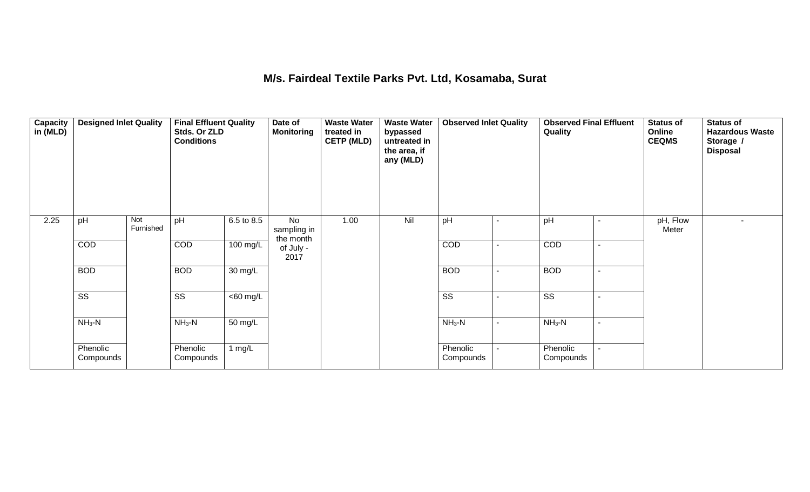#### **M/s. Fairdeal Textile Parks Pvt. Ltd, Kosamaba, Surat**

| Capacity<br>in (MLD) | <b>Designed Inlet Quality</b> |                  | <b>Final Effluent Quality</b><br>Stds. Or ZLD<br><b>Conditions</b> |                      | Date of<br><b>Monitoring</b>   | <b>Waste Water</b><br>treated in<br><b>CETP (MLD)</b> | <b>Waste Water</b><br>bypassed<br>untreated in<br>the area, if<br>any (MLD) | <b>Observed Inlet Quality</b> |                          | <b>Observed Final Effluent</b><br>Quality | <b>Status of</b><br>Online<br><b>CEQMS</b> | <b>Status of</b><br><b>Hazardous Waste</b><br>Storage /<br><b>Disposal</b> |
|----------------------|-------------------------------|------------------|--------------------------------------------------------------------|----------------------|--------------------------------|-------------------------------------------------------|-----------------------------------------------------------------------------|-------------------------------|--------------------------|-------------------------------------------|--------------------------------------------|----------------------------------------------------------------------------|
| 2.25                 | pH                            | Not<br>Furnished | pH                                                                 | 6.5 to 8.5           | No<br>sampling in<br>the month | 1.00                                                  | Nil                                                                         | pH                            |                          | pH                                        | pH, Flow<br>Meter                          |                                                                            |
|                      | COD                           |                  | COD                                                                | 100 mg/L             | of July -<br>2017              |                                                       |                                                                             | COD                           | $\blacksquare$           | COD                                       |                                            |                                                                            |
|                      | <b>BOD</b>                    |                  | <b>BOD</b>                                                         | 30 mg/L              |                                |                                                       |                                                                             | <b>BOD</b>                    |                          | <b>BOD</b>                                |                                            |                                                                            |
|                      | $\overline{\text{ss}}$        |                  | $\overline{\text{ss}}$                                             | $<$ 60 mg/L          |                                |                                                       |                                                                             | $\overline{\text{ss}}$        |                          | $\overline{\text{ss}}$                    |                                            |                                                                            |
|                      | $NH3-N$                       |                  | $NH3-N$                                                            | $\overline{50}$ mg/L |                                |                                                       |                                                                             | $NH3-N$                       | $\overline{\phantom{0}}$ | $NH3-N$                                   |                                            |                                                                            |
|                      | Phenolic<br>Compounds         |                  | Phenolic<br>Compounds                                              | 1 $mg/L$             |                                |                                                       |                                                                             | Phenolic<br>Compounds         |                          | Phenolic<br>Compounds                     |                                            |                                                                            |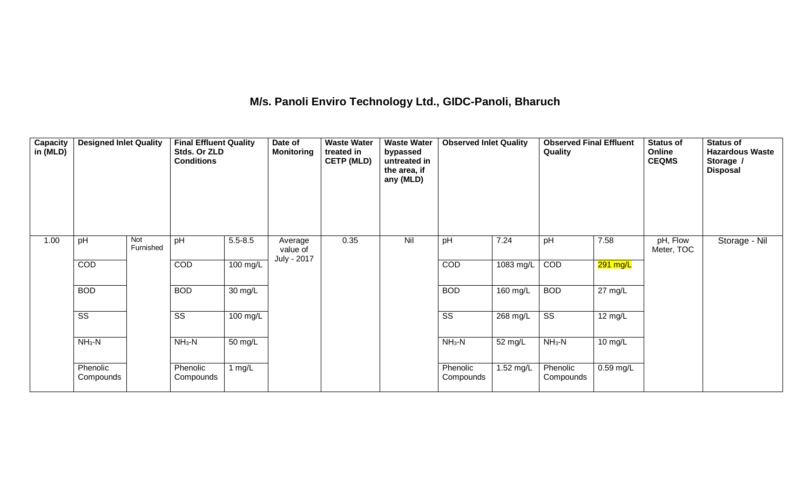## **M/s. Panoli Enviro Technology Ltd., GIDC-Panoli, Bharuch**

| Capacity<br>in (MLD) | <b>Designed Inlet Quality</b> |                  | <b>Final Effluent Quality</b><br>Stds. Or ZLD<br><b>Conditions</b> |                    | Date of<br><b>Monitoring</b>       | <b>Waste Water</b><br>treated in<br><b>CETP (MLD)</b> | <b>Waste Water</b><br>bypassed<br>untreated in<br>the area, if<br>any (MLD) | <b>Observed Inlet Quality</b> |           | <b>Observed Final Effluent</b><br>Quality |                   | <b>Status of</b><br>Online<br><b>CEQMS</b> | <b>Status of</b><br><b>Hazardous Waste</b><br>Storage /<br><b>Disposal</b> |
|----------------------|-------------------------------|------------------|--------------------------------------------------------------------|--------------------|------------------------------------|-------------------------------------------------------|-----------------------------------------------------------------------------|-------------------------------|-----------|-------------------------------------------|-------------------|--------------------------------------------|----------------------------------------------------------------------------|
| 1.00                 | pH                            | Not<br>Furnished | pH                                                                 | $5.5 - 8.5$        | Average<br>value of<br>July - 2017 | 0.35                                                  | Nil                                                                         | pH                            | 7.24      | pH                                        | 7.58              | pH, Flow<br>Meter, TOC                     | Storage - Nil                                                              |
|                      | COD                           |                  | COD                                                                | $100 \text{ mg/L}$ |                                    |                                                       |                                                                             | COD                           | 1083 mg/L | COD                                       | 291 mg/L          |                                            |                                                                            |
|                      | <b>BOD</b>                    |                  | <b>BOD</b>                                                         | 30 mg/L            |                                    |                                                       |                                                                             | <b>BOD</b>                    | 160 mg/L  | <b>BOD</b>                                | $27 \text{ mg/L}$ |                                            |                                                                            |
|                      | $\overline{\text{ss}}$        |                  | $\overline{\text{SS}}$                                             | 100 mg/L           |                                    |                                                       |                                                                             | $\overline{\text{ss}}$        | 268 mg/L  | $\overline{\text{SS}}$                    | 12 mg/L           |                                            |                                                                            |
|                      | $NH3-N$                       |                  | $NH_3-N$                                                           | 50 mg/L            |                                    |                                                       |                                                                             | $NH3-N$                       | 52 mg/L   | $NH_3-N$                                  | 10 mg/L           |                                            |                                                                            |
|                      | Phenolic<br>Compounds         |                  | Phenolic<br>Compounds                                              | 1 $mg/L$           |                                    |                                                       |                                                                             | Phenolic<br>Compounds         | 1.52 mg/L | Phenolic<br>Compounds                     | $0.59$ mg/L       |                                            |                                                                            |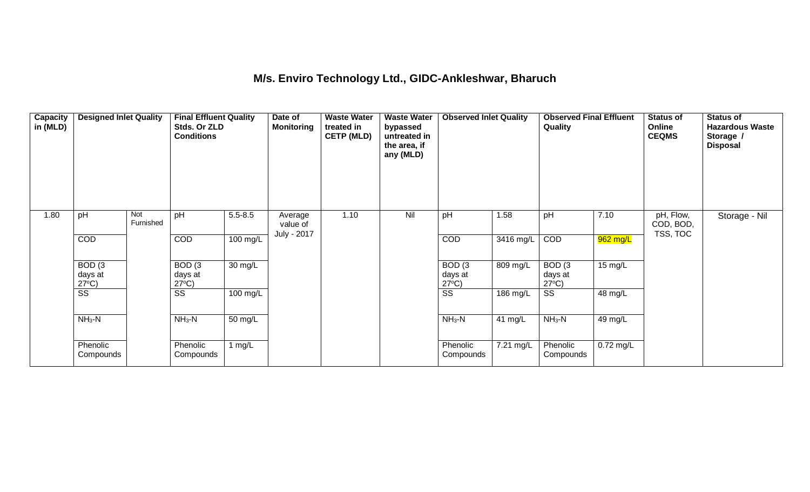#### **M/s. Enviro Technology Ltd., GIDC-Ankleshwar, Bharuch**

| Capacity<br>in (MLD) | <b>Designed Inlet Quality</b>                   |                  | <b>Final Effluent Quality</b><br>Stds. Or ZLD<br><b>Conditions</b> |                   | Date of<br><b>Monitoring</b> | <b>Waste Water</b><br>treated in<br><b>CETP (MLD)</b> | <b>Waste Water</b><br>bypassed<br>untreated in<br>the area, if<br>any (MLD) | <b>Observed Inlet Quality</b>                   |                         | <b>Observed Final Effluent</b><br>Quality       |           | <b>Status of</b><br>Online<br><b>CEQMS</b> | <b>Status of</b><br><b>Hazardous Waste</b><br>Storage /<br><b>Disposal</b> |
|----------------------|-------------------------------------------------|------------------|--------------------------------------------------------------------|-------------------|------------------------------|-------------------------------------------------------|-----------------------------------------------------------------------------|-------------------------------------------------|-------------------------|-------------------------------------------------|-----------|--------------------------------------------|----------------------------------------------------------------------------|
| 1.80                 | pH                                              | Not<br>Furnished | pH                                                                 | $5.5 - 8.5$       | Average<br>value of          | 1.10                                                  | Nil                                                                         | pH                                              | 1.58                    | pH                                              | 7.10      | pH, Flow,<br>COD, BOD,                     | Storage - Nil                                                              |
|                      | COD                                             |                  | COD                                                                | 100 mg/L          | July - 2017                  |                                                       |                                                                             | COD                                             | $\overline{34}$ 16 mg/L | COD                                             | 962 mg/L  | TSS, TOC                                   |                                                                            |
|                      | BOD <sub>(3</sub><br>days at<br>$27^{\circ}C$ ) |                  | BOD <sub>(3</sub><br>days at<br>$27^{\circ}C$ )                    | 30 mg/L           |                              |                                                       |                                                                             | BOD <sub>(3</sub><br>days at<br>$27^{\circ}C$ ) | 809 mg/L                | BOD <sub>(3</sub><br>days at<br>$27^{\circ}C$ ) | 15 mg/L   |                                            |                                                                            |
|                      | $\overline{\text{ss}}$                          |                  | $\overline{\text{ss}}$                                             | 100 mg/L          |                              |                                                       |                                                                             | $\overline{\text{ss}}$                          | $186$ mg/L              | $\overline{\text{ss}}$                          | 48 mg/L   |                                            |                                                                            |
|                      | $NH3-N$                                         |                  | $NH3-N$                                                            | $50 \text{ mg/L}$ |                              |                                                       |                                                                             | $NH3-N$                                         | 41 $mg/L$               | $NH3-N$                                         | 49 mg/L   |                                            |                                                                            |
|                      | Phenolic<br>Compounds                           |                  | Phenolic<br>Compounds                                              | 1 $mg/L$          |                              |                                                       |                                                                             | Phenolic<br>Compounds                           | 7.21 mg/L               | Phenolic<br>Compounds                           | 0.72 mg/L |                                            |                                                                            |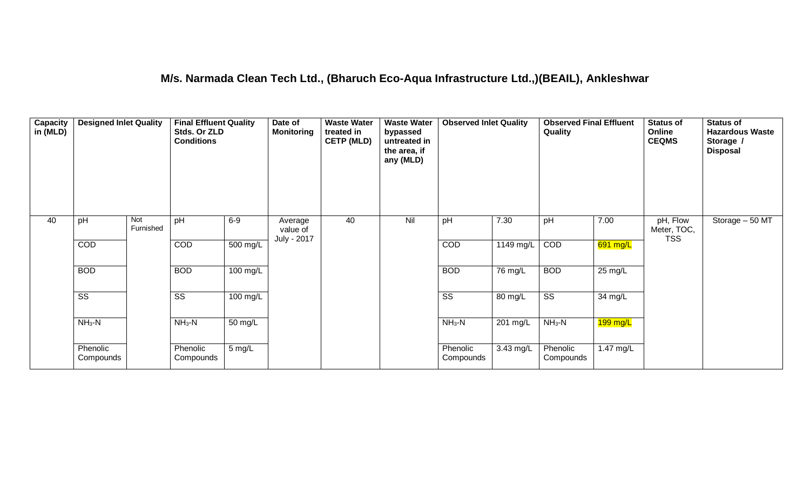### **M/s. Narmada Clean Tech Ltd., (Bharuch Eco-Aqua Infrastructure Ltd.,)(BEAIL), Ankleshwar**

| Capacity<br>in (MLD) | <b>Designed Inlet Quality</b> |                  | <b>Final Effluent Quality</b><br>Stds. Or ZLD<br><b>Conditions</b> |                      | Date of<br><b>Monitoring</b>       | <b>Waste Water</b><br>treated in<br><b>CETP (MLD)</b> | <b>Waste Water</b><br>bypassed<br>untreated in<br>the area, if<br>any (MLD) | <b>Observed Inlet Quality</b> |             | <b>Observed Final Effluent</b><br>Quality |            | <b>Status of</b><br>Online<br><b>CEQMS</b> | <b>Status of</b><br><b>Hazardous Waste</b><br>Storage /<br><b>Disposal</b> |
|----------------------|-------------------------------|------------------|--------------------------------------------------------------------|----------------------|------------------------------------|-------------------------------------------------------|-----------------------------------------------------------------------------|-------------------------------|-------------|-------------------------------------------|------------|--------------------------------------------|----------------------------------------------------------------------------|
| 40                   | pH                            | Not<br>Furnished | pH                                                                 | $6-9$                | Average<br>value of<br>July - 2017 | 40                                                    | Nil                                                                         | pH                            | 7.30        | pH                                        | 7.00       | pH, Flow<br>Meter, TOC,<br><b>TSS</b>      | Storage $-50$ MT                                                           |
|                      | COD                           |                  | COD                                                                | 500 mg/L             |                                    |                                                       |                                                                             | COD                           | $1149$ mg/L | COD                                       | 691 mg/L   |                                            |                                                                            |
|                      | <b>BOD</b>                    |                  | <b>BOD</b>                                                         | $100 \text{ mg/L}$   |                                    |                                                       |                                                                             | <b>BOD</b>                    | 76 mg/L     | <b>BOD</b>                                | 25 mg/L    |                                            |                                                                            |
|                      | $\overline{\text{ss}}$        |                  | $\overline{\text{SS}}$                                             | $100 \text{ mg/L}$   |                                    |                                                       |                                                                             | $\overline{\text{ss}}$        | 80 mg/L     | $\overline{\text{ss}}$                    | 34 mg/L    |                                            |                                                                            |
|                      | $NH3-N$                       |                  | $NH3-N$                                                            | $\overline{50}$ mg/L |                                    |                                                       |                                                                             | $NH3-N$                       | $201$ mg/L  | $NH3-N$                                   | $199$ mg/L |                                            |                                                                            |
|                      | Phenolic<br>Compounds         |                  | Phenolic<br>Compounds                                              | 5 mg/L               |                                    |                                                       |                                                                             | Phenolic<br>Compounds         | 3.43 mg/L   | Phenolic<br>Compounds                     | 1.47 mg/L  |                                            |                                                                            |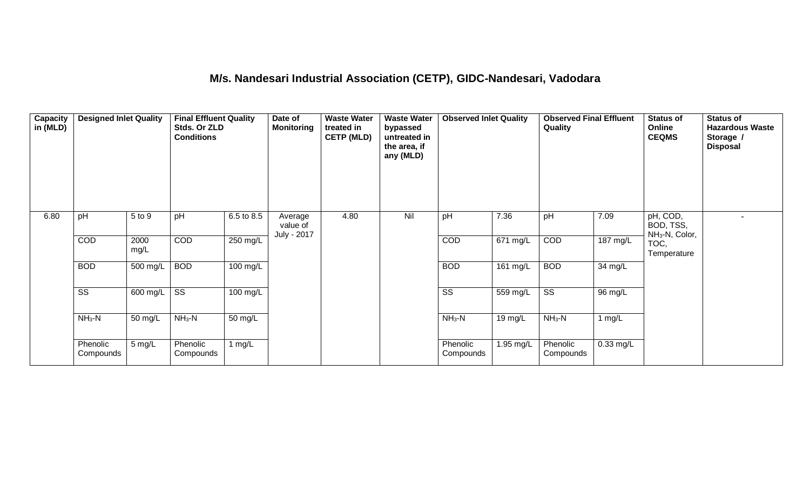## **M/s. Nandesari Industrial Association (CETP), GIDC-Nandesari, Vadodara**

| Capacity<br>in (MLD) | <b>Designed Inlet Quality</b> |                  | <b>Final Effluent Quality</b><br>Stds. Or ZLD<br><b>Conditions</b> |                    | Date of<br><b>Monitoring</b>       | <b>Waste Water</b><br>treated in<br><b>CETP (MLD)</b> | <b>Waste Water</b><br>bypassed<br>untreated in<br>the area, if<br>any (MLD) | <b>Observed Inlet Quality</b> |                       | <b>Observed Final Effluent</b><br>Quality |             | <b>Status of</b><br>Online<br><b>CEQMS</b>          | <b>Status of</b><br><b>Hazardous Waste</b><br>Storage /<br><b>Disposal</b> |
|----------------------|-------------------------------|------------------|--------------------------------------------------------------------|--------------------|------------------------------------|-------------------------------------------------------|-----------------------------------------------------------------------------|-------------------------------|-----------------------|-------------------------------------------|-------------|-----------------------------------------------------|----------------------------------------------------------------------------|
| 6.80                 | pH                            | 5 to 9           | pH                                                                 | 6.5 to 8.5         | Average<br>value of<br>July - 2017 | 4.80                                                  | Nil                                                                         | pH                            | 7.36                  | pH                                        | 7.09        | pH, COD,<br>BOD, TSS,<br>NH <sub>3</sub> -N, Color, |                                                                            |
|                      | COD                           | 2000<br>mg/L     | COD                                                                | 250 mg/L           |                                    |                                                       |                                                                             | COD                           | $\overline{671}$ mg/L | COD                                       | 187 mg/L    | TOC,<br>Temperature                                 |                                                                            |
|                      | <b>BOD</b>                    | 500 mg/L         | <b>BOD</b>                                                         | 100 mg/L           |                                    |                                                       |                                                                             | <b>BOD</b>                    | $161$ mg/L            | <b>BOD</b>                                | 34 mg/L     |                                                     |                                                                            |
|                      | $\overline{\text{SS}}$        | 600 mg/L         | $\overline{\text{ss}}$                                             | $100 \text{ mg/L}$ |                                    |                                                       |                                                                             | $\overline{\text{ss}}$        | 559 mg/L              | $\overline{\text{SS}}$                    | 96 mg/L     |                                                     |                                                                            |
|                      | $NH3-N$                       | 50 mg/L          | $NH3-N$                                                            | $50 \text{ mg/L}$  |                                    |                                                       |                                                                             | $NH3-N$                       | 19 mg/L               | $NH3-N$                                   | 1 $mg/L$    |                                                     |                                                                            |
|                      | Phenolic<br>Compounds         | $5 \text{ mg/L}$ | Phenolic<br>Compounds                                              | 1 $mg/L$           |                                    |                                                       |                                                                             | Phenolic<br>Compounds         | 1.95 mg/L             | Phenolic<br>Compounds                     | $0.33$ mg/L |                                                     |                                                                            |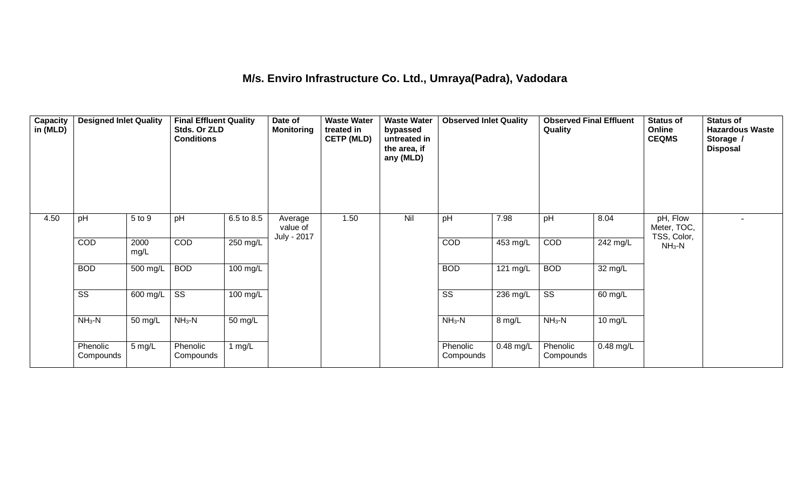### **M/s. Enviro Infrastructure Co. Ltd., Umraya(Padra), Vadodara**

| Capacity<br>in (MLD) | <b>Designed Inlet Quality</b> |              | <b>Final Effluent Quality</b><br>Stds. Or ZLD<br><b>Conditions</b> |            | Date of<br><b>Monitoring</b>       | <b>Waste Water</b><br>treated in<br><b>CETP (MLD)</b> | <b>Waste Water</b><br>bypassed<br>untreated in<br>the area, if<br>any (MLD) | <b>Observed Inlet Quality</b> |             | <b>Observed Final Effluent</b><br>Quality |             | Status of<br>Online<br><b>CEQMS</b>    | <b>Status of</b><br><b>Hazardous Waste</b><br>Storage /<br><b>Disposal</b> |
|----------------------|-------------------------------|--------------|--------------------------------------------------------------------|------------|------------------------------------|-------------------------------------------------------|-----------------------------------------------------------------------------|-------------------------------|-------------|-------------------------------------------|-------------|----------------------------------------|----------------------------------------------------------------------------|
| 4.50                 | pH                            | 5 to 9       | pH                                                                 | 6.5 to 8.5 | Average<br>value of<br>July - 2017 | 1.50                                                  | Nil                                                                         | pH                            | 7.98        | pH                                        | 8.04        | pH, Flow<br>Meter, TOC,<br>TSS, Color, |                                                                            |
|                      | COD                           | 2000<br>mg/L | COD                                                                | 250 mg/L   |                                    |                                                       |                                                                             | COD                           | 453 mg/L    | COD                                       | 242 mg/L    | $NH3-N$                                |                                                                            |
|                      | <b>BOD</b>                    | 500 mg/L     | <b>BOD</b>                                                         | 100 mg/L   |                                    |                                                       |                                                                             | <b>BOD</b>                    | 121 mg/L    | <b>BOD</b>                                | 32 mg/L     |                                        |                                                                            |
|                      | $\overline{\text{ss}}$        | 600 mg/L     | $\overline{\text{ss}}$                                             | 100 mg/L   |                                    |                                                       |                                                                             | $\overline{\text{ss}}$        | $236$ mg/L  | $\overline{\text{ss}}$                    | 60 mg/L     |                                        |                                                                            |
|                      | $NH3-N$                       | 50 mg/L      | $NH3-N$                                                            | 50 mg/L    |                                    |                                                       |                                                                             | $NH3-N$                       | 8 mg/L      | $NH3-N$                                   | 10 mg/L     |                                        |                                                                            |
|                      | Phenolic<br>Compounds         | 5 mg/L       | Phenolic<br>Compounds                                              | 1 $mg/L$   |                                    |                                                       |                                                                             | Phenolic<br>Compounds         | $0.48$ mg/L | Phenolic<br>Compounds                     | $0.48$ mg/L |                                        |                                                                            |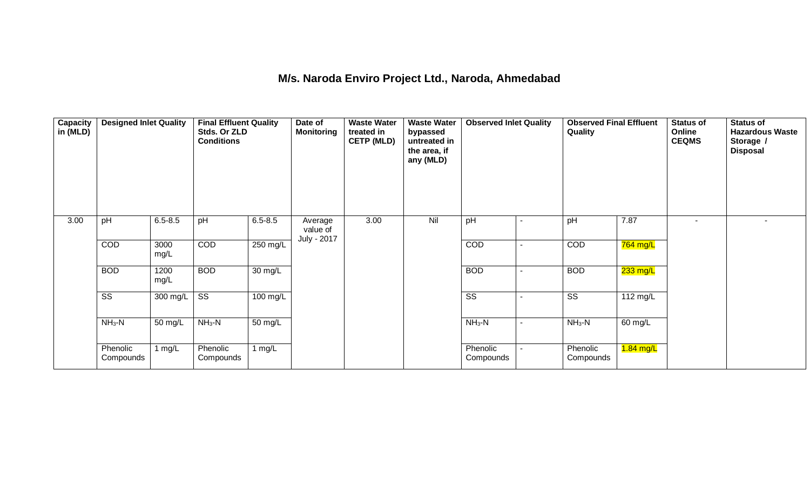#### **M/s. Naroda Enviro Project Ltd., Naroda, Ahmedabad**

| <b>Capacity</b><br>in (MLD) | <b>Designed Inlet Quality</b> |              | <b>Final Effluent Quality</b><br>Stds. Or ZLD<br><b>Conditions</b> |             | Date of<br><b>Monitoring</b>       | <b>Waste Water</b><br>treated in<br><b>CETP (MLD)</b> | <b>Waste Water</b><br>bypassed<br>untreated in<br>the area, if<br>any (MLD) | <b>Observed Inlet Quality</b> |        | <b>Observed Final Effluent</b><br>Quality |                    | Status of<br>Online<br><b>CEQMS</b> | <b>Status of</b><br><b>Hazardous Waste</b><br>Storage /<br><b>Disposal</b> |
|-----------------------------|-------------------------------|--------------|--------------------------------------------------------------------|-------------|------------------------------------|-------------------------------------------------------|-----------------------------------------------------------------------------|-------------------------------|--------|-------------------------------------------|--------------------|-------------------------------------|----------------------------------------------------------------------------|
| 3.00                        | pH                            | $6.5 - 8.5$  | pH                                                                 | $6.5 - 8.5$ | Average<br>value of<br>July - 2017 | 3.00                                                  | Nil                                                                         | pH                            |        | pH                                        | 7.87               | $\sim$                              |                                                                            |
|                             | COD                           | 3000<br>mg/L | COD                                                                | 250 mg/L    |                                    |                                                       |                                                                             | COD                           |        | COD                                       | 764 mg/L           |                                     |                                                                            |
|                             | <b>BOD</b>                    | 1200<br>mg/L | <b>BOD</b>                                                         | 30 mg/L     |                                    |                                                       |                                                                             | <b>BOD</b>                    | $\sim$ | <b>BOD</b>                                | 233 mg/L           |                                     |                                                                            |
|                             | $\overline{\text{SS}}$        | 300 mg/L     | $\overline{\text{ss}}$                                             | 100 mg/L    |                                    |                                                       |                                                                             | $\overline{\text{ss}}$        |        | $\overline{\text{ss}}$                    | $112 \text{ mg/L}$ |                                     |                                                                            |
|                             | $NH3-N$                       | 50 mg/L      | $NH3-N$                                                            | 50 mg/L     |                                    |                                                       |                                                                             | $NH3-N$                       |        | $NH3-N$                                   | 60 mg/L            |                                     |                                                                            |
|                             | Phenolic<br>Compounds         | 1 mg/ $L$    | Phenolic<br>Compounds                                              | 1 $mg/L$    |                                    |                                                       |                                                                             | Phenolic<br>Compounds         |        | Phenolic<br>Compounds                     | $1.84$ mg/L        |                                     |                                                                            |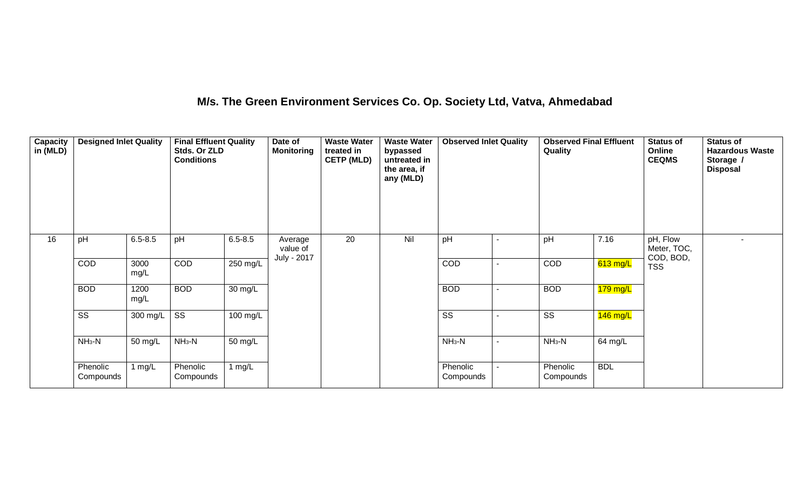### **M/s. The Green Environment Services Co. Op. Society Ltd, Vatva, Ahmedabad**

| Capacity<br>in (MLD) | <b>Designed Inlet Quality</b> |              | <b>Final Effluent Quality</b><br>Stds. Or ZLD<br><b>Conditions</b> |                   | Date of<br><b>Monitoring</b>       | <b>Waste Water</b><br>treated in<br><b>CETP (MLD)</b> | <b>Waste Water</b><br>bypassed<br>untreated in<br>the area, if<br>any (MLD) | <b>Observed Inlet Quality</b> |   | <b>Observed Final Effluent</b><br>Quality |            | <b>Status of</b><br>Online<br><b>CEQMS</b> | <b>Status of</b><br><b>Hazardous Waste</b><br>Storage /<br><b>Disposal</b> |
|----------------------|-------------------------------|--------------|--------------------------------------------------------------------|-------------------|------------------------------------|-------------------------------------------------------|-----------------------------------------------------------------------------|-------------------------------|---|-------------------------------------------|------------|--------------------------------------------|----------------------------------------------------------------------------|
| 16                   | pH                            | $6.5 - 8.5$  | pH                                                                 | $6.5 - 8.5$       | Average<br>value of<br>July - 2017 | 20                                                    | Nil                                                                         | pH                            |   | pH                                        | 7.16       | pH, Flow<br>Meter, TOC,<br>COD, BOD,       |                                                                            |
|                      | COD                           | 3000<br>mg/L | <b>COD</b>                                                         | 250 mg/L          |                                    |                                                       |                                                                             | <b>COD</b>                    |   | COD                                       | $613$ mg/L | <b>TSS</b>                                 |                                                                            |
|                      | <b>BOD</b>                    | 1200<br>mg/L | <b>BOD</b>                                                         | $30 \text{ mg/L}$ |                                    |                                                       |                                                                             | <b>BOD</b>                    | ٠ | <b>BOD</b>                                | $179$ mg/L |                                            |                                                                            |
|                      | $\overline{\text{ss}}$        | 300 mg/L     | $\overline{\text{SS}}$                                             | 100 mg/L          |                                    |                                                       |                                                                             | $\overline{\text{SS}}$        |   | $\overline{\text{ss}}$                    | $146$ mg/L |                                            |                                                                            |
|                      | $NH3-N$                       | 50 mg/L      | $NH3-N$                                                            | 50 mg/L           |                                    |                                                       |                                                                             | $NH_3-N$                      |   | $NH_3-N$                                  | 64 mg/L    |                                            |                                                                            |
|                      | Phenolic<br>Compounds         | 1 mg/ $L$    | Phenolic<br>Compounds                                              | 1 $mg/L$          |                                    |                                                       |                                                                             | Phenolic<br>Compounds         |   | Phenolic<br>Compounds                     | <b>BDL</b> |                                            |                                                                            |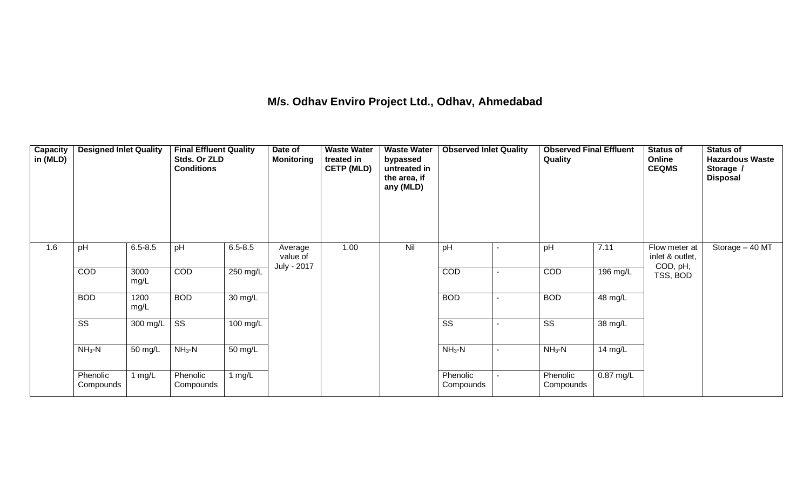### **M/s. Odhav Enviro Project Ltd., Odhav, Ahmedabad**

| <b>Capacity</b><br>in (MLD) | <b>Designed Inlet Quality</b> |              | <b>Final Effluent Quality</b><br>Stds. Or ZLD<br><b>Conditions</b> |                      | Date of<br><b>Monitoring</b>       | <b>Waste Water</b><br>treated in<br><b>CETP (MLD)</b> | <b>Waste Water</b><br>bypassed<br>untreated in<br>the area, if<br>any (MLD) | <b>Observed Inlet Quality</b> | <b>Observed Final Effluent</b><br>Quality |             | <b>Status of</b><br>Online<br><b>CEQMS</b>   | <b>Status of</b><br><b>Hazardous Waste</b><br>Storage /<br><b>Disposal</b> |
|-----------------------------|-------------------------------|--------------|--------------------------------------------------------------------|----------------------|------------------------------------|-------------------------------------------------------|-----------------------------------------------------------------------------|-------------------------------|-------------------------------------------|-------------|----------------------------------------------|----------------------------------------------------------------------------|
| 1.6                         | pH                            | $6.5 - 8.5$  | pH                                                                 | $6.5 - 8.5$          | Average<br>value of<br>July - 2017 | 1.00                                                  | Nil                                                                         | pH                            | pH                                        | 7.11        | Flow meter at<br>inlet & outlet,<br>COD, pH, | Storage - 40 MT                                                            |
|                             | COD                           | 3000<br>mg/L | <b>COD</b>                                                         | 250 mg/L             |                                    |                                                       |                                                                             | <b>COD</b>                    | COD                                       | 196 mg/L    | TSS, BOD                                     |                                                                            |
|                             | <b>BOD</b>                    | 1200<br>mg/L | <b>BOD</b>                                                         | $\overline{30}$ mg/L |                                    |                                                       |                                                                             | <b>BOD</b>                    | <b>BOD</b>                                | 48 mg/L     |                                              |                                                                            |
|                             | SS                            | 300 mg/L     | SS                                                                 | 100 mg/L             |                                    |                                                       |                                                                             | $\overline{\text{SS}}$        | SS                                        | 38 mg/L     |                                              |                                                                            |
|                             | $NH3-N$                       | 50 mg/L      | $NH3-N$                                                            | 50 mg/L              |                                    |                                                       |                                                                             | $NH_3-N$                      | $NH_3-N$                                  | 14 mg/L     |                                              |                                                                            |
|                             | Phenolic<br>Compounds         | 1 $mg/L$     | Phenolic<br>Compounds                                              | 1 $mg/L$             |                                    |                                                       |                                                                             | Phenolic<br>Compounds         | Phenolic<br>Compounds                     | $0.87$ mg/L |                                              |                                                                            |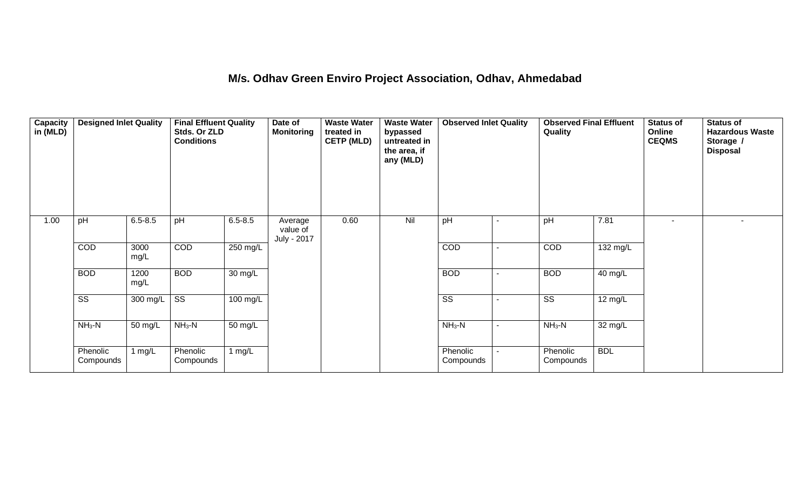#### **M/s. Odhav Green Enviro Project Association, Odhav, Ahmedabad**

| Capacity<br>in (MLD) | <b>Designed Inlet Quality</b> |                  | <b>Final Effluent Quality</b><br>Stds. Or ZLD<br><b>Conditions</b> |                    | Date of<br><b>Monitoring</b>       | <b>Waste Water</b><br>treated in<br><b>CETP (MLD)</b> | <b>Waste Water</b><br>bypassed<br>untreated in<br>the area, if<br>any (MLD) | <b>Observed Inlet Quality</b> |                | <b>Observed Final Effluent</b><br>Quality |                   | <b>Status of</b><br>Online<br><b>CEQMS</b> | <b>Status of</b><br><b>Hazardous Waste</b><br>Storage /<br><b>Disposal</b> |
|----------------------|-------------------------------|------------------|--------------------------------------------------------------------|--------------------|------------------------------------|-------------------------------------------------------|-----------------------------------------------------------------------------|-------------------------------|----------------|-------------------------------------------|-------------------|--------------------------------------------|----------------------------------------------------------------------------|
| 1.00                 | pH                            | $6.5 - 8.5$      | pH                                                                 | $6.5 - 8.5$        | Average<br>value of<br>July - 2017 | 0.60                                                  | Nil                                                                         | pH                            |                | pH                                        | 7.81              |                                            |                                                                            |
|                      | COD                           | 3000<br>mg/L     | COD                                                                | 250 mg/L           |                                    |                                                       |                                                                             | COD                           | $\blacksquare$ | COD                                       | 132 mg/L          |                                            |                                                                            |
|                      | <b>BOD</b>                    | 1200<br>mg/L     | <b>BOD</b>                                                         | 30 mg/L            |                                    |                                                       |                                                                             | <b>BOD</b>                    | $\blacksquare$ | <b>BOD</b>                                | 40 mg/L           |                                            |                                                                            |
|                      | $\overline{\text{SS}}$        | 300 mg/L         | $\overline{\text{SS}}$                                             | $100 \text{ mg/L}$ |                                    |                                                       |                                                                             | $\overline{\text{SS}}$        |                | $\overline{\text{SS}}$                    | $12 \text{ mg/L}$ |                                            |                                                                            |
|                      | $NH3-N$                       | 50 mg/L          | $NH3-N$                                                            | 50 mg/L            |                                    |                                                       |                                                                             | $NH3-N$                       | $\blacksquare$ | $NH3-N$                                   | 32 mg/L           |                                            |                                                                            |
|                      | Phenolic<br>Compounds         | $1 \text{ mg/L}$ | Phenolic<br>Compounds                                              | 1 $mg/L$           |                                    |                                                       |                                                                             | Phenolic<br>Compounds         |                | Phenolic<br>Compounds                     | <b>BDL</b>        |                                            |                                                                            |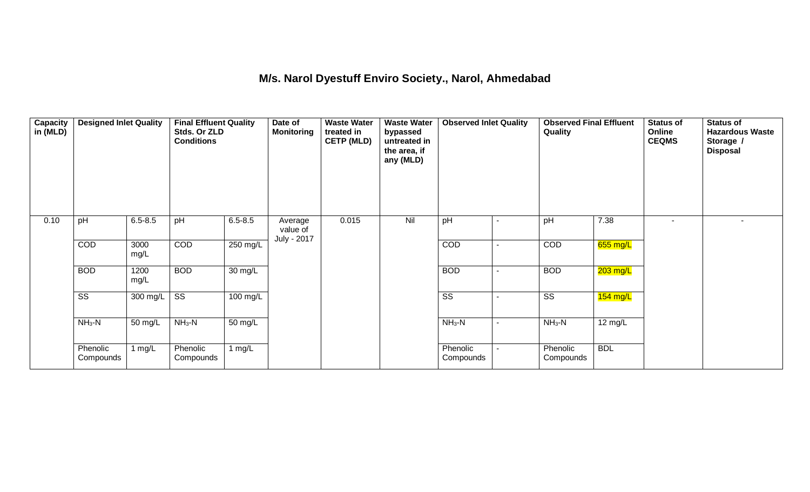### **M/s. Narol Dyestuff Enviro Society., Narol, Ahmedabad**

| Capacity<br>in (MLD) | <b>Designed Inlet Quality</b> |              | <b>Final Effluent Quality</b><br>Stds. Or ZLD<br><b>Conditions</b> |                      | Date of<br><b>Monitoring</b> | <b>Waste Water</b><br>treated in<br><b>CETP (MLD)</b> | <b>Waste Water</b><br>bypassed<br>untreated in<br>the area, if<br>any (MLD) | <b>Observed Inlet Quality</b> |                | <b>Observed Final Effluent</b><br>Quality |                   | <b>Status of</b><br>Online<br><b>CEQMS</b> | <b>Status of</b><br><b>Hazardous Waste</b><br>Storage /<br><b>Disposal</b> |
|----------------------|-------------------------------|--------------|--------------------------------------------------------------------|----------------------|------------------------------|-------------------------------------------------------|-----------------------------------------------------------------------------|-------------------------------|----------------|-------------------------------------------|-------------------|--------------------------------------------|----------------------------------------------------------------------------|
| 0.10                 | pH                            | $6.5 - 8.5$  | pH                                                                 | $6.5 - 8.5$          | Average<br>value of          | 0.015                                                 | Nil                                                                         | pH                            |                | pH                                        | 7.38              |                                            |                                                                            |
|                      | COD                           | 3000<br>mg/L | COD                                                                | 250 mg/L             | July - 2017                  |                                                       |                                                                             | COD                           | $\blacksquare$ | COD                                       | $655$ mg/L        |                                            |                                                                            |
|                      | <b>BOD</b>                    | 1200<br>mg/L | <b>BOD</b>                                                         | 30 mg/L              |                              |                                                       |                                                                             | <b>BOD</b>                    |                | <b>BOD</b>                                | 203 mg/L          |                                            |                                                                            |
|                      | $\overline{\text{ss}}$        | 300 mg/L     | $\overline{\text{SS}}$                                             | 100 mg/L             |                              |                                                       |                                                                             | $\overline{\text{SS}}$        |                | $\overline{\text{SS}}$                    | $154$ mg/L        |                                            |                                                                            |
|                      | $NH3-N$                       | 50 mg/L      | $NH3-N$                                                            | $\overline{50}$ mg/L |                              |                                                       |                                                                             | $NH3-N$                       | $\blacksquare$ | $NH3-N$                                   | $12 \text{ mg/L}$ |                                            |                                                                            |
|                      | Phenolic<br>Compounds         | 1 mg/L       | Phenolic<br>Compounds                                              | 1 mg/L               |                              |                                                       |                                                                             | Phenolic<br>Compounds         |                | Phenolic<br>Compounds                     | <b>BDL</b>        |                                            |                                                                            |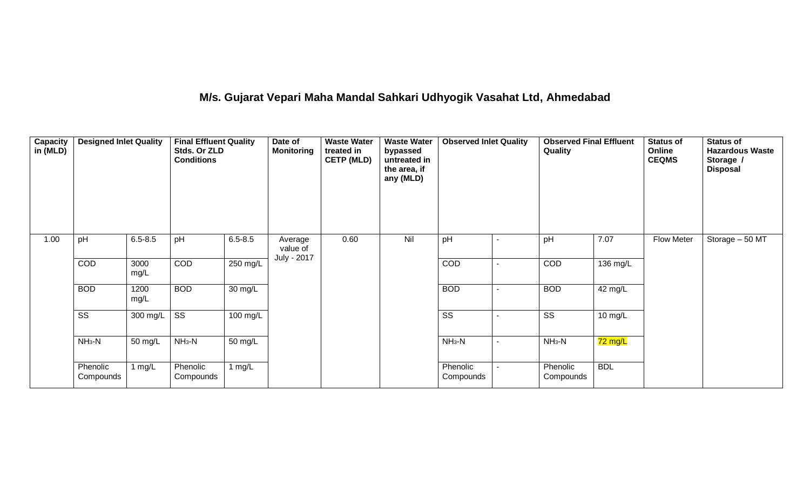# **M/s. Gujarat Vepari Maha Mandal Sahkari Udhyogik Vasahat Ltd, Ahmedabad**

| <b>Capacity</b><br>in (MLD) | <b>Designed Inlet Quality</b> |              | <b>Final Effluent Quality</b><br>Stds. Or ZLD<br><b>Conditions</b> |                      | Date of<br><b>Monitoring</b>       | <b>Waste Water</b><br>treated in<br><b>CETP (MLD)</b> | <b>Waste Water</b><br>bypassed<br>untreated in<br>the area, if<br>any (MLD) | <b>Observed Inlet Quality</b> |                          | <b>Observed Final Effluent</b><br>Quality |                      | <b>Status of</b><br>Online<br><b>CEQMS</b> | <b>Status of</b><br><b>Hazardous Waste</b><br>Storage /<br><b>Disposal</b> |
|-----------------------------|-------------------------------|--------------|--------------------------------------------------------------------|----------------------|------------------------------------|-------------------------------------------------------|-----------------------------------------------------------------------------|-------------------------------|--------------------------|-------------------------------------------|----------------------|--------------------------------------------|----------------------------------------------------------------------------|
| 1.00                        | pH                            | $6.5 - 8.5$  | pH                                                                 | $6.5 - 8.5$          | Average<br>value of<br>July - 2017 | 0.60                                                  | Nil                                                                         | pH                            |                          | pH                                        | 7.07                 | <b>Flow Meter</b>                          | Storage - 50 MT                                                            |
|                             | COD                           | 3000<br>mg/L | <b>COD</b>                                                         | 250 mg/L             |                                    |                                                       |                                                                             | <b>COD</b>                    |                          | COD                                       | 136 mg/L             |                                            |                                                                            |
|                             | <b>BOD</b>                    | 1200<br>mg/L | <b>BOD</b>                                                         | $\overline{30}$ mg/L |                                    |                                                       |                                                                             | <b>BOD</b>                    |                          | <b>BOD</b>                                | 42 mg/L              |                                            |                                                                            |
|                             | $\overline{\text{ss}}$        | 300 mg/L     | $\overline{\text{ss}}$                                             | 100 mg/L             |                                    |                                                       |                                                                             | $\overline{\text{ss}}$        |                          | $\overline{\text{ss}}$                    | 10 mg/L              |                                            |                                                                            |
|                             | $NH3-N$                       | 50 mg/L      | $NH3-N$                                                            | $50 \text{ mg/L}$    |                                    |                                                       |                                                                             | $NH_3-N$                      | $\overline{\phantom{a}}$ | $NH3-N$                                   | $\overline{72}$ mg/L |                                            |                                                                            |
|                             | Phenolic<br>Compounds         | 1 mg/L       | Phenolic<br>Compounds                                              | 1 $mg/L$             |                                    |                                                       |                                                                             | Phenolic<br>Compounds         |                          | Phenolic<br>Compounds                     | <b>BDL</b>           |                                            |                                                                            |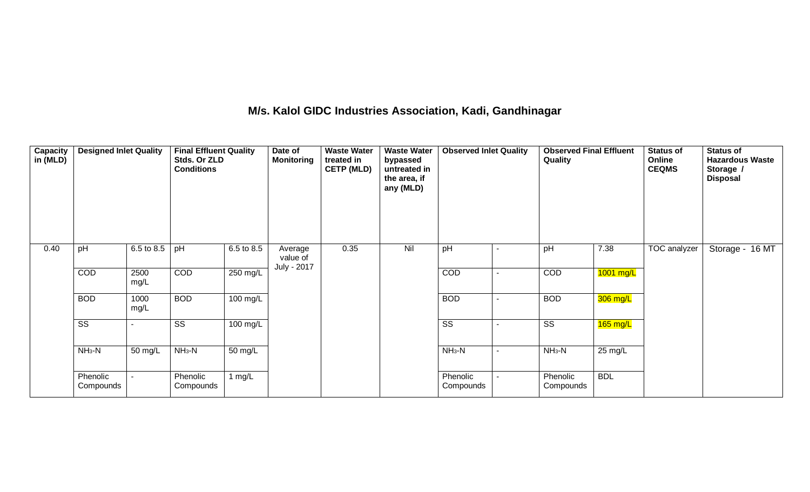### **M/s. Kalol GIDC Industries Association, Kadi, Gandhinagar**

| Capacity<br>in (MLD) | <b>Designed Inlet Quality</b> |              | <b>Final Effluent Quality</b><br>Stds. Or ZLD<br><b>Conditions</b> |                      | Date of<br><b>Monitoring</b> | <b>Waste Water</b><br>treated in<br><b>CETP (MLD)</b> | <b>Waste Water</b><br>bypassed<br>untreated in<br>the area, if<br>any (MLD) | <b>Observed Inlet Quality</b> |   | <b>Observed Final Effluent</b><br>Quality |                   | <b>Status of</b><br>Online<br><b>CEQMS</b> | <b>Status of</b><br><b>Hazardous Waste</b><br>Storage /<br><b>Disposal</b> |  |
|----------------------|-------------------------------|--------------|--------------------------------------------------------------------|----------------------|------------------------------|-------------------------------------------------------|-----------------------------------------------------------------------------|-------------------------------|---|-------------------------------------------|-------------------|--------------------------------------------|----------------------------------------------------------------------------|--|
| 0.40                 | pH                            | 6.5 to 8.5   | pH                                                                 | 6.5 to 8.5           | Average<br>value of          | 0.35                                                  | Nil                                                                         | pH                            | ۰ | pH                                        | 7.38              | TOC analyzer                               | Storage - 16 MT                                                            |  |
|                      | COD                           | 2500<br>mg/L | COD                                                                | 250 mg/L             | July - 2017                  |                                                       |                                                                             | COD                           | ٠ | COD                                       | $1001$ mg/L       |                                            |                                                                            |  |
|                      | <b>BOD</b>                    | 1000<br>mg/L | <b>BOD</b>                                                         | 100 mg/L             |                              |                                                       |                                                                             | <b>BOD</b>                    |   | <b>BOD</b>                                | 306 mg/L          |                                            |                                                                            |  |
|                      | $\overline{\text{SS}}$        |              | $\overline{\text{SS}}$                                             | 100 mg/L             |                              |                                                       |                                                                             | $\overline{\text{SS}}$        |   | $\overline{\text{ss}}$                    | $165$ mg/L        |                                            |                                                                            |  |
|                      | $NH3-N$                       | 50 mg/L      | $NH3-N$                                                            | $\overline{50}$ mg/L |                              |                                                       |                                                                             | $NH3-N$                       | ٠ | $NH3-N$                                   | $25 \text{ mg/L}$ |                                            |                                                                            |  |
|                      | Phenolic<br>Compounds         |              | Phenolic<br>Compounds                                              | 1 $mg/L$             |                              |                                                       |                                                                             | Phenolic<br>Compounds         |   | Phenolic<br>Compounds                     | <b>BDL</b>        |                                            |                                                                            |  |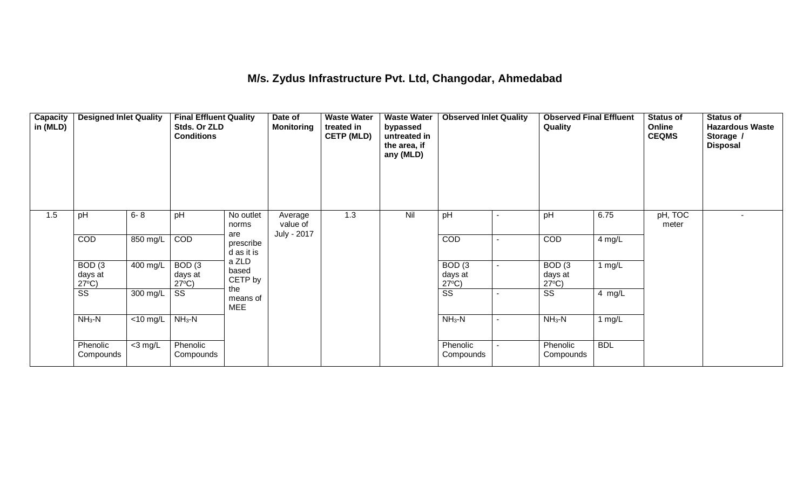### **M/s. Zydus Infrastructure Pvt. Ltd, Changodar, Ahmedabad**

| <b>Capacity</b><br>in (MLD) | <b>Designed Inlet Quality</b>                   |             | <b>Final Effluent Quality</b><br>Stds. Or ZLD<br><b>Conditions</b> |                                | Date of<br><b>Monitoring</b> | <b>Waste Water</b><br>treated in<br><b>CETP (MLD)</b> | <b>Waste Water</b><br>bypassed<br>untreated in<br>the area, if<br>any (MLD) | <b>Observed Inlet Quality</b>        |   | <b>Observed Final Effluent</b><br>Quality     |            | <b>Status of</b><br>Online<br><b>CEQMS</b> | <b>Status of</b><br><b>Hazardous Waste</b><br>Storage /<br><b>Disposal</b> |
|-----------------------------|-------------------------------------------------|-------------|--------------------------------------------------------------------|--------------------------------|------------------------------|-------------------------------------------------------|-----------------------------------------------------------------------------|--------------------------------------|---|-----------------------------------------------|------------|--------------------------------------------|----------------------------------------------------------------------------|
| 1.5                         | pH                                              | $6 - 8$     | pH                                                                 | No outlet<br>norms             | Average<br>value of          | 1.3                                                   | Nil                                                                         | pH                                   |   | pH                                            | 6.75       | pH, TOC<br>meter                           | $\overline{a}$                                                             |
|                             | <b>COD</b>                                      | 850 mg/L    | COD                                                                | are<br>prescribe<br>d as it is | July - 2017                  |                                                       |                                                                             | COD                                  | ٠ | COD                                           | 4 mg/L     |                                            |                                                                            |
|                             | BOD <sub>(3</sub><br>days at<br>$27^{\circ}C$ ) | 400 mg/L    | $\overline{BOD}$ (3<br>days at<br>$27^{\circ}C$ )                  | a ZLD<br>based<br>CETP by      |                              |                                                       |                                                                             | BOD(3)<br>days at<br>$27^{\circ}C$ ) |   | BOD <sub>(3</sub><br>days at<br>$27^{\circ}C$ | 1 $mg/L$   |                                            |                                                                            |
|                             | $\overline{\text{ss}}$                          | 300 mg/L    | $\overline{\text{SS}}$                                             | the<br>means of<br><b>MEE</b>  |                              |                                                       |                                                                             | $\overline{\text{SS}}$               |   | $\overline{\text{ss}}$                        | 4 mg/L     |                                            |                                                                            |
|                             | $NH3-N$                                         | $<$ 10 mg/L | $NH3-N$                                                            |                                |                              |                                                       |                                                                             | $NH3-N$                              | ٠ | $NH3-N$                                       | 1 $mg/L$   |                                            |                                                                            |
|                             | Phenolic<br>Compounds                           | $<$ 3 mg/L  | Phenolic<br>Compounds                                              |                                |                              |                                                       |                                                                             | Phenolic<br>Compounds                |   | Phenolic<br>Compounds                         | <b>BDL</b> |                                            |                                                                            |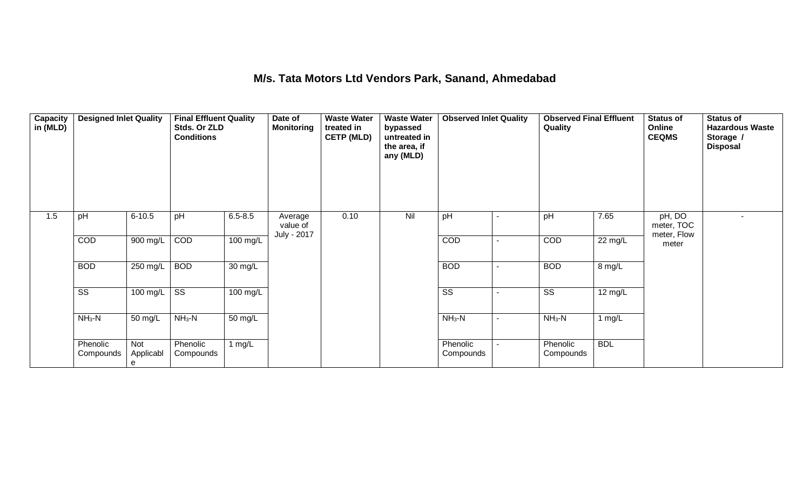### **M/s. Tata Motors Ltd Vendors Park, Sanand, Ahmedabad**

| Capacity<br>in (MLD) | <b>Designed Inlet Quality</b> |                       | <b>Final Effluent Quality</b><br>Stds. Or ZLD<br><b>Conditions</b> |                      | Date of<br><b>Monitoring</b>       | <b>Waste Water</b><br>treated in<br><b>CETP (MLD)</b> | <b>Waste Water</b><br>bypassed<br>untreated in<br>the area, if<br>any (MLD) | <b>Observed Inlet Quality</b> |                | <b>Observed Final Effluent</b><br>Quality |            | <b>Status of</b><br>Online<br><b>CEQMS</b> | <b>Status of</b><br><b>Hazardous Waste</b><br>Storage /<br><b>Disposal</b> |
|----------------------|-------------------------------|-----------------------|--------------------------------------------------------------------|----------------------|------------------------------------|-------------------------------------------------------|-----------------------------------------------------------------------------|-------------------------------|----------------|-------------------------------------------|------------|--------------------------------------------|----------------------------------------------------------------------------|
| 1.5                  | pH                            | $6 - 10.5$            | pH                                                                 | $6.5 - 8.5$          | Average<br>value of<br>July - 2017 | 0.10                                                  | Nil                                                                         | pH                            | ٠              | pH                                        | 7.65       | pH, DO<br>meter, TOC<br>meter, Flow        |                                                                            |
|                      | COD                           | 900 mg/L              | COD                                                                | 100 mg/L             |                                    |                                                       |                                                                             | COD                           | $\sim$         | COD                                       | 22 mg/L    | meter                                      |                                                                            |
|                      | <b>BOD</b>                    | 250 mg/L              | <b>BOD</b>                                                         | $\overline{30}$ mg/L |                                    |                                                       |                                                                             | <b>BOD</b>                    | Ξ.             | <b>BOD</b>                                | 8 mg/L     |                                            |                                                                            |
|                      | $\overline{\text{ss}}$        | 100 mg/L              | $\overline{\text{ss}}$                                             | 100 mg/L             |                                    |                                                       |                                                                             | $\overline{\text{ss}}$        |                | $\overline{\text{ss}}$                    | 12 mg/L    |                                            |                                                                            |
|                      | $NH3-N$                       | 50 mg/L               | $NH3-N$                                                            | 50 mg/L              |                                    |                                                       |                                                                             | $NH3-N$                       | $\blacksquare$ | $NH3-N$                                   | 1 mg/L     |                                            |                                                                            |
|                      | Phenolic<br>Compounds         | Not<br>Applicabl<br>e | Phenolic<br>Compounds                                              | 1 $mg/L$             |                                    |                                                       |                                                                             | Phenolic<br>Compounds         | Ξ.             | Phenolic<br>Compounds                     | <b>BDL</b> |                                            |                                                                            |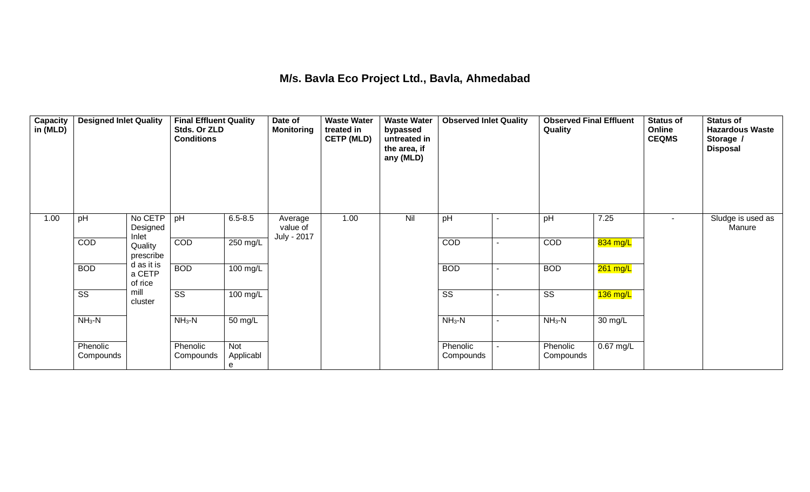#### **M/s. Bavla Eco Project Ltd., Bavla, Ahmedabad**

| Capacity<br>in (MLD) | <b>Designed Inlet Quality</b> |                                 | <b>Final Effluent Quality</b><br>Stds. Or ZLD<br><b>Conditions</b> |                              | Date of<br><b>Monitoring</b>       | <b>Waste Water</b><br>treated in<br><b>CETP (MLD)</b> | <b>Waste Water</b><br>bypassed<br>untreated in<br>the area, if<br>any (MLD) | <b>Observed Inlet Quality</b> |                          | <b>Observed Final Effluent</b><br>Quality |             | <b>Status of</b><br>Online<br><b>CEQMS</b> | <b>Status of</b><br><b>Hazardous Waste</b><br>Storage /<br><b>Disposal</b> |
|----------------------|-------------------------------|---------------------------------|--------------------------------------------------------------------|------------------------------|------------------------------------|-------------------------------------------------------|-----------------------------------------------------------------------------|-------------------------------|--------------------------|-------------------------------------------|-------------|--------------------------------------------|----------------------------------------------------------------------------|
| 1.00                 | pH                            | No CETP<br>Designed<br>Inlet    | pH                                                                 | $6.5 - 8.5$                  | Average<br>value of<br>July - 2017 | 1.00                                                  | Nil                                                                         | pH                            | $\blacksquare$           | pH                                        | 7.25        | $\sim$                                     | Sludge is used as<br>Manure                                                |
|                      | COD                           | Quality<br>prescribe            | COD                                                                | 250 mg/L                     |                                    |                                                       |                                                                             | COD                           | $\overline{\phantom{0}}$ | COD                                       | 834 mg/L    |                                            |                                                                            |
|                      | <b>BOD</b>                    | d as it is<br>a CETP<br>of rice | <b>BOD</b>                                                         | $100 \text{ mg/L}$           |                                    |                                                       |                                                                             | <b>BOD</b>                    | ۰                        | <b>BOD</b>                                | 261 mg/L    |                                            |                                                                            |
|                      | $\overline{\text{ss}}$        | mill<br>cluster                 | $\overline{\text{SS}}$                                             | 100 mg/L                     |                                    |                                                       |                                                                             | SS                            |                          | SS                                        | 136 mg/L    |                                            |                                                                            |
|                      | $NH3-N$                       |                                 | $NH3-N$                                                            | 50 mg/L                      |                                    |                                                       |                                                                             | $NH3-N$                       | ۰                        | $NH3-N$                                   | 30 mg/L     |                                            |                                                                            |
|                      | Phenolic<br>Compounds         |                                 | Phenolic<br>Compounds                                              | <b>Not</b><br>Applicabl<br>е |                                    |                                                       |                                                                             | Phenolic<br>Compounds         | ۰.                       | Phenolic<br>Compounds                     | $0.67$ mg/L |                                            |                                                                            |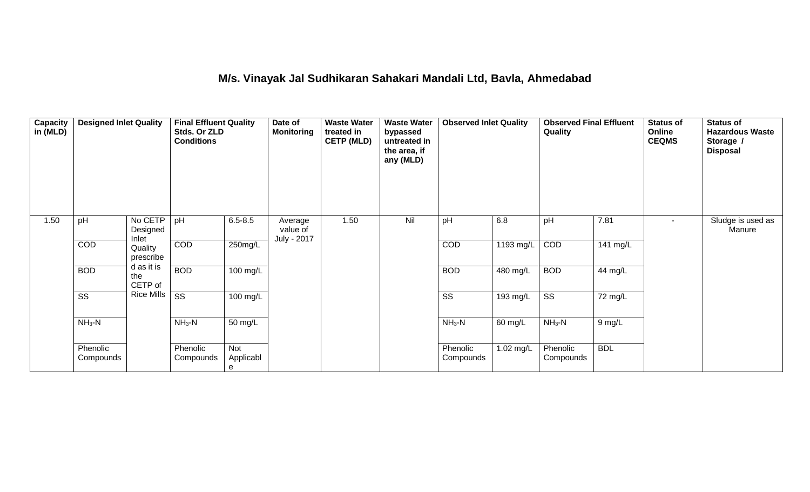### **M/s. Vinayak Jal Sudhikaran Sahakari Mandali Ltd, Bavla, Ahmedabad**

| Capacity<br>in (MLD) | <b>Designed Inlet Quality</b> |                                                      | <b>Final Effluent Quality</b><br>Stds. Or ZLD<br><b>Conditions</b> |                       | Date of<br><b>Monitoring</b>       | <b>Waste Water</b><br><b>Waste Water</b><br>treated in<br>bypassed<br><b>CETP (MLD)</b><br>untreated in<br>the area, if<br>any (MLD) |     | <b>Observed Inlet Quality</b> |                       | <b>Observed Final Effluent</b><br>Quality |            | <b>Status of</b><br>Online<br><b>CEQMS</b> | <b>Status of</b><br><b>Hazardous Waste</b><br>Storage /<br><b>Disposal</b> |
|----------------------|-------------------------------|------------------------------------------------------|--------------------------------------------------------------------|-----------------------|------------------------------------|--------------------------------------------------------------------------------------------------------------------------------------|-----|-------------------------------|-----------------------|-------------------------------------------|------------|--------------------------------------------|----------------------------------------------------------------------------|
| 1.50                 | pH                            | No CETP<br>Designed<br>Inlet                         | pH                                                                 | $6.5 - 8.5$           | Average<br>value of<br>July - 2017 | 1.50                                                                                                                                 | Nil | pH                            | 6.8                   | pH                                        | 7.81       | $\sim$                                     | Sludge is used as<br>Manure                                                |
|                      | COD                           | Quality<br>prescribe<br>d as it is<br>the<br>CETP of | COD                                                                | 250mg/L               |                                    |                                                                                                                                      |     | COD                           | 1193 mg/L             | COD                                       | 141 mg/L   |                                            |                                                                            |
|                      | <b>BOD</b>                    |                                                      | <b>BOD</b>                                                         | 100 mg/L              |                                    |                                                                                                                                      |     | <b>BOD</b>                    | 480 mg/L              | <b>BOD</b>                                | 44 mg/L    |                                            |                                                                            |
|                      | $\overline{\text{ss}}$        | Rice Mills                                           | $\overline{\text{ss}}$                                             | 100 mg/L              |                                    |                                                                                                                                      |     | $\overline{\text{ss}}$        | $\overline{193}$ mg/L | $\overline{\text{SS}}$                    | 72 mg/L    |                                            |                                                                            |
|                      | $NH3-N$                       |                                                      | $NH3-N$                                                            | 50 mg/L               |                                    |                                                                                                                                      |     | $NH3-N$                       | 60 mg/L               | $NH3-N$                                   | 9 mg/L     |                                            |                                                                            |
|                      | Phenolic<br>Compounds         |                                                      | Phenolic<br>Compounds                                              | Not<br>Applicabl<br>е |                                    |                                                                                                                                      |     | Phenolic<br>Compounds         | 1.02 mg/L             | Phenolic<br>Compounds                     | <b>BDL</b> |                                            |                                                                            |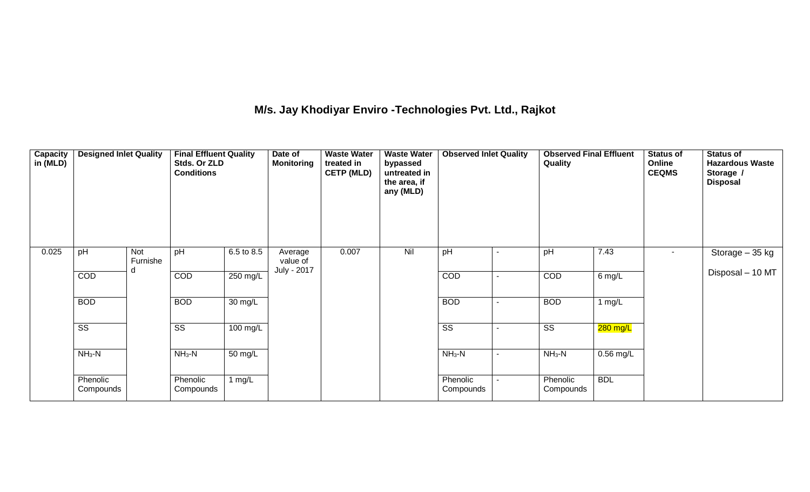## **M/s. Jay Khodiyar Enviro -Technologies Pvt. Ltd., Rajkot**

| <b>Capacity</b><br>in (MLD) | <b>Designed Inlet Quality</b> |                 | <b>Final Effluent Quality</b><br>Stds. Or ZLD<br><b>Conditions</b> |            | Date of<br><b>Monitoring</b> | <b>Waste Water</b><br>treated in<br><b>CETP (MLD)</b> | <b>Waste Water</b><br>bypassed<br>untreated in<br>the area, if<br>any (MLD) | <b>Observed Inlet Quality</b> |                | <b>Observed Final Effluent</b><br>Quality |             | <b>Status of</b><br>Online<br><b>CEQMS</b> | <b>Status of</b><br><b>Hazardous Waste</b><br>Storage /<br><b>Disposal</b> |
|-----------------------------|-------------------------------|-----------------|--------------------------------------------------------------------|------------|------------------------------|-------------------------------------------------------|-----------------------------------------------------------------------------|-------------------------------|----------------|-------------------------------------------|-------------|--------------------------------------------|----------------------------------------------------------------------------|
| 0.025                       | pH                            | Not<br>Furnishe | pH                                                                 | 6.5 to 8.5 | Average<br>value of          | 0.007                                                 | Nil                                                                         | pH                            |                | pH                                        | 7.43        | $\sim$                                     | Storage - 35 kg                                                            |
|                             | COD                           | d               | <b>COD</b>                                                         | 250 mg/L   | July - 2017                  |                                                       |                                                                             | COD                           | $\blacksquare$ | COD                                       | $6$ mg/L    |                                            | Disposal - 10 MT                                                           |
|                             | <b>BOD</b>                    |                 | <b>BOD</b>                                                         | 30 mg/L    |                              |                                                       |                                                                             | <b>BOD</b>                    |                | <b>BOD</b>                                | 1 $mg/L$    |                                            |                                                                            |
|                             | $\overline{\text{ss}}$        |                 | SS                                                                 | 100 mg/L   |                              |                                                       |                                                                             | $\overline{\text{ss}}$        |                | $\overline{\text{ss}}$                    | $280$ mg/L  |                                            |                                                                            |
|                             | $NH3-N$                       |                 | $NH3-N$                                                            | 50 mg/L    |                              |                                                       |                                                                             | $NH_3-N$                      | ۰              | $NH3-N$                                   | $0.56$ mg/L |                                            |                                                                            |
|                             | Phenolic<br>Compounds         |                 | Phenolic<br>Compounds                                              | 1 $mg/L$   |                              |                                                       |                                                                             | Phenolic<br>Compounds         |                | Phenolic<br>Compounds                     | <b>BDL</b>  |                                            |                                                                            |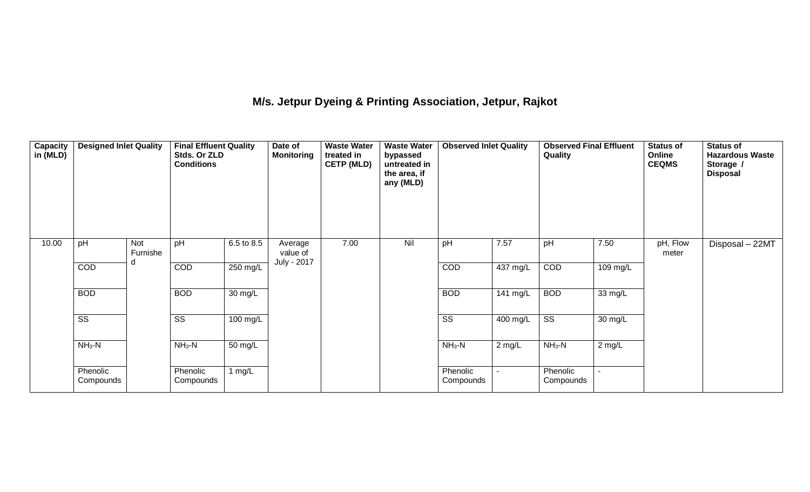### **M/s. Jetpur Dyeing & Printing Association, Jetpur, Rajkot**

| Capacity<br>in (MLD) | <b>Designed Inlet Quality</b> |                 | <b>Final Effluent Quality</b><br>Stds. Or ZLD<br><b>Conditions</b> |                      | Date of<br><b>Monitoring</b>       | <b>Waste Water</b><br>treated in<br><b>CETP (MLD)</b> | <b>Waste Water</b><br>bypassed<br>untreated in<br>the area, if<br>any (MLD) | <b>Observed Inlet Quality</b> |          | <b>Observed Final Effluent</b><br>Quality |          | <b>Status of</b><br>Online<br><b>CEQMS</b> | <b>Status of</b><br><b>Hazardous Waste</b><br>Storage /<br><b>Disposal</b> |
|----------------------|-------------------------------|-----------------|--------------------------------------------------------------------|----------------------|------------------------------------|-------------------------------------------------------|-----------------------------------------------------------------------------|-------------------------------|----------|-------------------------------------------|----------|--------------------------------------------|----------------------------------------------------------------------------|
| 10.00                | pH                            | Not<br>Furnishe | pH                                                                 | 6.5 to 8.5           | Average<br>value of<br>July - 2017 | 7.00                                                  | Nil                                                                         | pH                            | 7.57     | pH                                        | 7.50     | pH, Flow<br>meter                          | Disposal - 22MT                                                            |
|                      | <b>COD</b>                    |                 | <b>COD</b>                                                         | 250 mg/L             |                                    |                                                       |                                                                             | <b>COD</b>                    | 437 mg/L | COD                                       | 109 mg/L |                                            |                                                                            |
|                      | <b>BOD</b>                    |                 | <b>BOD</b>                                                         | $\overline{30}$ mg/L |                                    |                                                       |                                                                             | <b>BOD</b>                    | 141 mg/L | <b>BOD</b>                                | 33 mg/L  |                                            |                                                                            |
|                      | $\overline{\text{ss}}$        |                 | SS                                                                 | 100 mg/L             |                                    |                                                       |                                                                             | $\overline{\text{SS}}$        | 400 mg/L | $\overline{\text{ss}}$                    | 30 mg/L  |                                            |                                                                            |
|                      | $NH3-N$                       |                 | $NH3-N$                                                            | 50 mg/L              |                                    |                                                       |                                                                             | $NH3-N$                       | $2$ mg/L | $NH3-N$                                   | $2$ mg/L |                                            |                                                                            |
|                      | Phenolic<br>Compounds         |                 | Phenolic<br>Compounds                                              | 1 mg/L               |                                    |                                                       |                                                                             | Phenolic<br>Compounds         |          | Phenolic<br>Compounds                     |          |                                            |                                                                            |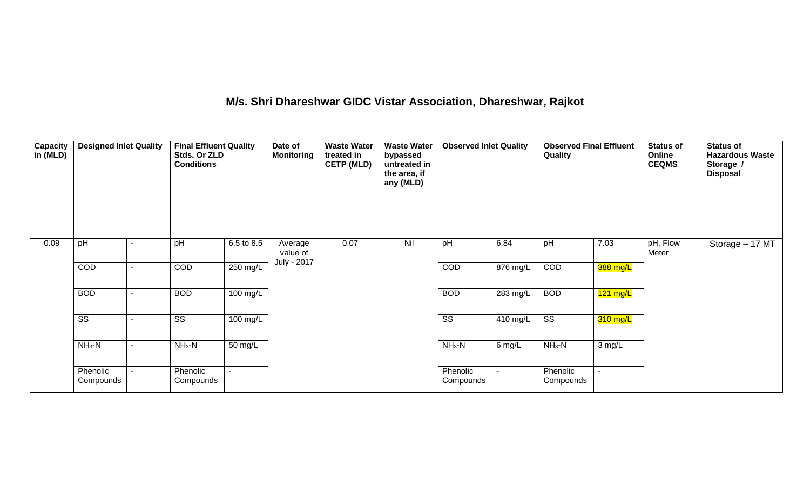### **M/s. Shri Dhareshwar GIDC Vistar Association, Dhareshwar, Rajkot**

| Capacity<br>in (MLD) | <b>Designed Inlet Quality</b> |  | <b>Final Effluent Quality</b><br>Stds. Or ZLD<br><b>Conditions</b> |            | Date of<br><b>Monitoring</b>       | <b>Waste Water</b><br><b>Waste Water</b><br>treated in<br>bypassed<br><b>CETP (MLD)</b><br>untreated in<br>the area, if<br>any (MLD) |     | <b>Observed Inlet Quality</b> |            | <b>Observed Final Effluent</b><br>Quality |            | <b>Status of</b><br>Online<br><b>CEQMS</b> | <b>Status of</b><br><b>Hazardous Waste</b><br>Storage /<br><b>Disposal</b> |
|----------------------|-------------------------------|--|--------------------------------------------------------------------|------------|------------------------------------|--------------------------------------------------------------------------------------------------------------------------------------|-----|-------------------------------|------------|-------------------------------------------|------------|--------------------------------------------|----------------------------------------------------------------------------|
| 0.09                 | pH                            |  | pH                                                                 | 6.5 to 8.5 | Average<br>value of<br>July - 2017 | 0.07                                                                                                                                 | Nil | pH                            | 6.84       | pH                                        | 7.03       | pH, Flow<br>Meter                          | Storage - 17 MT                                                            |
|                      | COD                           |  | <b>COD</b>                                                         | 250 mg/L   |                                    |                                                                                                                                      |     | <b>COD</b>                    | 876 mg/L   | COD                                       | 388 mg/L   |                                            |                                                                            |
|                      | <b>BOD</b>                    |  | <b>BOD</b>                                                         | 100 mg/L   |                                    |                                                                                                                                      |     | <b>BOD</b>                    | $283$ mg/L | <b>BOD</b>                                | $121$ mg/L |                                            |                                                                            |
|                      | $\overline{\text{ss}}$        |  | SS                                                                 | 100 mg/L   |                                    |                                                                                                                                      |     | $\overline{\text{ss}}$        | 410 mg/L   | $\overline{\text{ss}}$                    | 310 mg/L   |                                            |                                                                            |
|                      | $NH3-N$                       |  | $NH3-N$                                                            | 50 mg/L    |                                    |                                                                                                                                      |     | $NH3-N$                       | 6 mg/L     | $NH3-N$                                   | 3 mg/L     |                                            |                                                                            |
|                      | Phenolic<br>Compounds         |  | Phenolic<br>Compounds                                              |            |                                    |                                                                                                                                      |     | Phenolic<br>Compounds         |            | Phenolic<br>Compounds                     |            |                                            |                                                                            |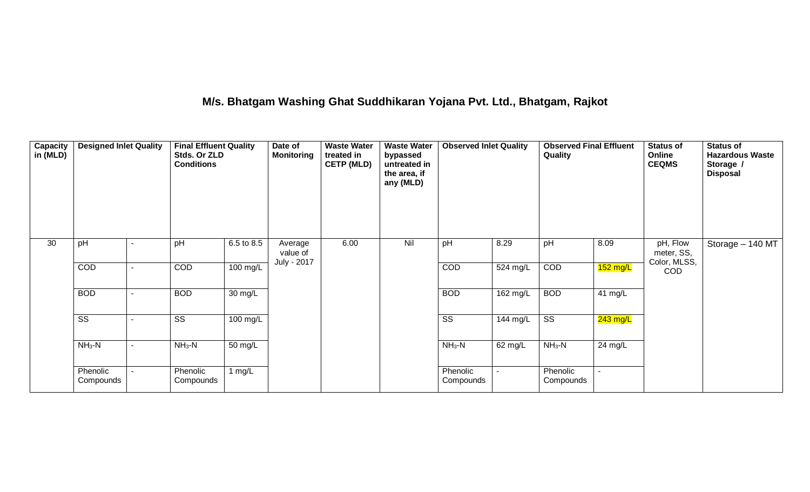### **M/s. Bhatgam Washing Ghat Suddhikaran Yojana Pvt. Ltd., Bhatgam, Rajkot**

| Capacity<br>in (MLD) | <b>Designed Inlet Quality</b> |   | <b>Final Effluent Quality</b><br>Stds. Or ZLD<br><b>Conditions</b> |                      | Date of<br><b>Monitoring</b>       | <b>Waste Water</b><br>treated in<br><b>CETP (MLD)</b> | <b>Waste Water</b><br>bypassed<br>untreated in<br>the area, if<br>any (MLD) | <b>Observed Inlet Quality</b> |            | <b>Observed Final Effluent</b><br>Quality |            | <b>Status of</b><br>Online<br><b>CEQMS</b>           | <b>Status of</b><br><b>Hazardous Waste</b><br>Storage /<br><b>Disposal</b> |
|----------------------|-------------------------------|---|--------------------------------------------------------------------|----------------------|------------------------------------|-------------------------------------------------------|-----------------------------------------------------------------------------|-------------------------------|------------|-------------------------------------------|------------|------------------------------------------------------|----------------------------------------------------------------------------|
| 30                   | pH                            |   | pH                                                                 | 6.5 to 8.5           | Average<br>value of<br>July - 2017 | 6.00                                                  | Nil                                                                         | pH                            | 8.29       | pH                                        | 8.09       | pH, Flow<br>meter, SS,<br>Color, MLSS,<br><b>COD</b> | Storage - 140 MT                                                           |
|                      | COD                           | ٠ | COD                                                                | 100 mg/L             |                                    |                                                       |                                                                             | COD                           | 524 mg/L   | COD                                       | $152$ mg/L |                                                      |                                                                            |
|                      | <b>BOD</b>                    |   | <b>BOD</b>                                                         | $\overline{30}$ mg/L |                                    |                                                       |                                                                             | <b>BOD</b>                    | $162$ mg/L | <b>BOD</b>                                | 41 mg/L    |                                                      |                                                                            |
|                      | SS                            |   | SS                                                                 | 100 mg/L             |                                    |                                                       |                                                                             | $\overline{\text{ss}}$        | 144 mg/L   | $\overline{\text{ss}}$                    | $243$ mg/L |                                                      |                                                                            |
|                      | $NH3-N$                       |   | $NH3-N$                                                            | 50 mg/L              |                                    |                                                       |                                                                             | $NH3-N$                       | 62 mg/L    | $NH_3-N$                                  | 24 mg/L    |                                                      |                                                                            |
|                      | Phenolic<br>Compounds         |   | Phenolic<br>Compounds                                              | 1 $mg/L$             |                                    |                                                       |                                                                             | Phenolic<br>Compounds         |            | Phenolic<br>Compounds                     |            |                                                      |                                                                            |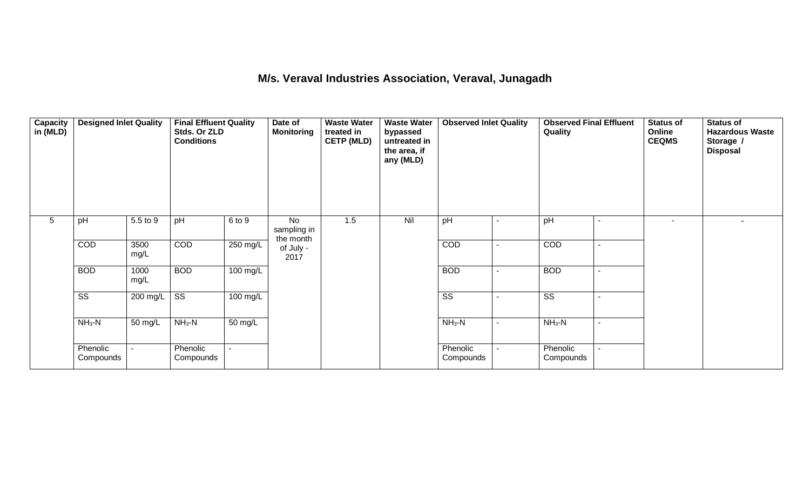#### **M/s. Veraval Industries Association, Veraval, Junagadh**

| Capacity<br>in (MLD) | <b>Designed Inlet Quality</b> |              |                        | <b>Final Effluent Quality</b><br>Stds. Or ZLD<br><b>Conditions</b> |                                | <b>Waste Water</b><br>treated in<br><b>CETP (MLD)</b> | <b>Waste Water</b><br>bypassed<br>untreated in<br>the area, if<br>any (MLD) |                        |                          | <b>Observed Final Effluent</b><br>Quality |                | Status of<br>Online<br><b>CEQMS</b> | <b>Status of</b><br><b>Hazardous Waste</b><br>Storage /<br><b>Disposal</b> |
|----------------------|-------------------------------|--------------|------------------------|--------------------------------------------------------------------|--------------------------------|-------------------------------------------------------|-----------------------------------------------------------------------------|------------------------|--------------------------|-------------------------------------------|----------------|-------------------------------------|----------------------------------------------------------------------------|
| 5                    | pH                            | 5.5 to 9     | pH                     | 6 to 9                                                             | No<br>sampling in<br>the month | 1.5                                                   | Nil                                                                         | pH                     |                          | pH                                        |                | $\overline{a}$                      |                                                                            |
|                      | COD                           | 3500<br>mg/L | COD                    | 250 mg/L                                                           | of July -<br>2017              |                                                       |                                                                             | COD                    | $\overline{\phantom{a}}$ | COD                                       |                |                                     |                                                                            |
|                      | <b>BOD</b>                    | 1000<br>mg/L | <b>BOD</b>             | 100 mg/L                                                           |                                |                                                       |                                                                             | <b>BOD</b>             | $\overline{\phantom{a}}$ | <b>BOD</b>                                |                |                                     |                                                                            |
|                      | $\overline{\text{ss}}$        | 200 mg/L     | $\overline{\text{ss}}$ | 100 mg/L                                                           |                                |                                                       |                                                                             | $\overline{\text{ss}}$ | $\overline{\phantom{a}}$ | $\overline{\text{ss}}$                    |                |                                     |                                                                            |
|                      | $NH3-N$                       | 50 mg/L      | $NH3-N$                | 50 mg/L                                                            |                                |                                                       |                                                                             | $NH3-N$                | $\blacksquare$           | $NH3-N$                                   | $\blacksquare$ |                                     |                                                                            |
|                      | Phenolic<br>Compounds         |              | Phenolic<br>Compounds  | ÷.                                                                 |                                |                                                       |                                                                             | Phenolic<br>Compounds  |                          | Phenolic<br>Compounds                     |                |                                     |                                                                            |